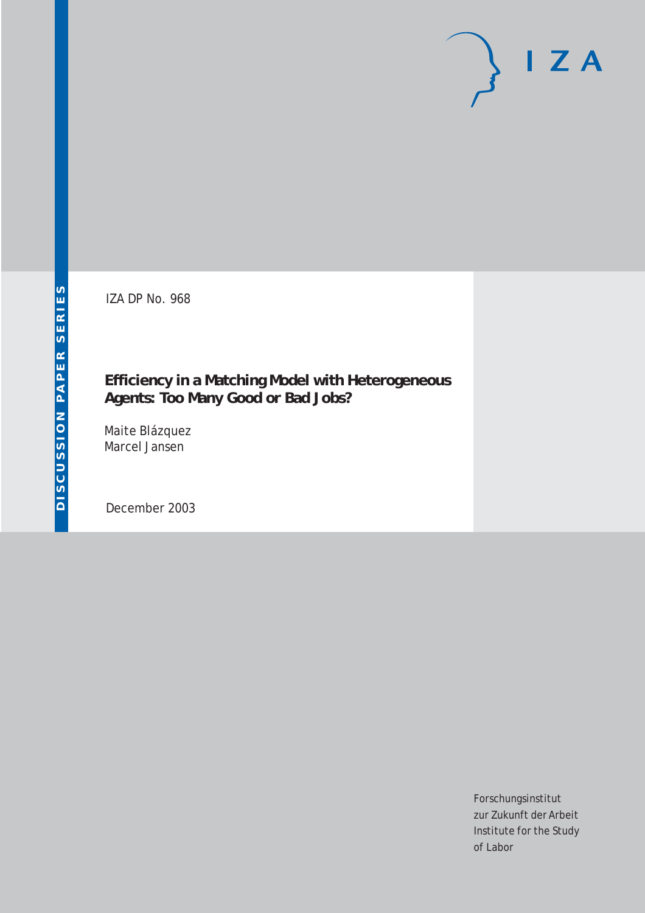IZA DP No. 968

### **Efficiency in a Matching Model with Heterogeneous Agents: Too Many Good or Bad Jobs?**

Maite Blázquez Marcel Jansen

December 2003

Forschungsinstitut zur Zukunft der Arbeit Institute for the Study of Labor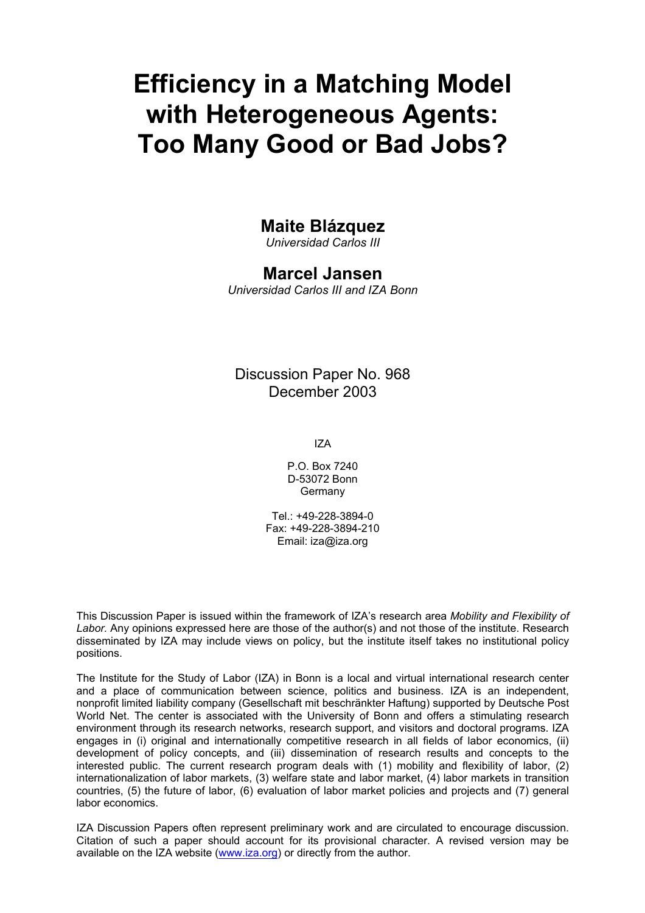# **Efficiency in a Matching Model with Heterogeneous Agents: Too Many Good or Bad Jobs?**

### **Maite Blázquez**

*Universidad Carlos III* 

### **Marcel Jansen**

*Universidad Carlos III and IZA Bonn* 

### Discussion Paper No. 968 December 2003

IZA

P.O. Box 7240 D-53072 Bonn Germany

Tel.: +49-228-3894-0 Fax: +49-228-3894-210 Email: [iza@iza.org](mailto:iza@iza.org)

This Discussion Paper is issued within the framework of IZA's research area *Mobility and Flexibility of Labor.* Any opinions expressed here are those of the author(s) and not those of the institute. Research disseminated by IZA may include views on policy, but the institute itself takes no institutional policy positions.

The Institute for the Study of Labor (IZA) in Bonn is a local and virtual international research center and a place of communication between science, politics and business. IZA is an independent, nonprofit limited liability company (Gesellschaft mit beschränkter Haftung) supported by Deutsche Post World Net. The center is associated with the University of Bonn and offers a stimulating research environment through its research networks, research support, and visitors and doctoral programs. IZA engages in (i) original and internationally competitive research in all fields of labor economics, (ii) development of policy concepts, and (iii) dissemination of research results and concepts to the interested public. The current research program deals with (1) mobility and flexibility of labor, (2) internationalization of labor markets, (3) welfare state and labor market, (4) labor markets in transition countries, (5) the future of labor, (6) evaluation of labor market policies and projects and (7) general labor economics.

IZA Discussion Papers often represent preliminary work and are circulated to encourage discussion. Citation of such a paper should account for its provisional character. A revised version may be available on the IZA website ([www.iza.org](http://www.iza.org/)) or directly from the author.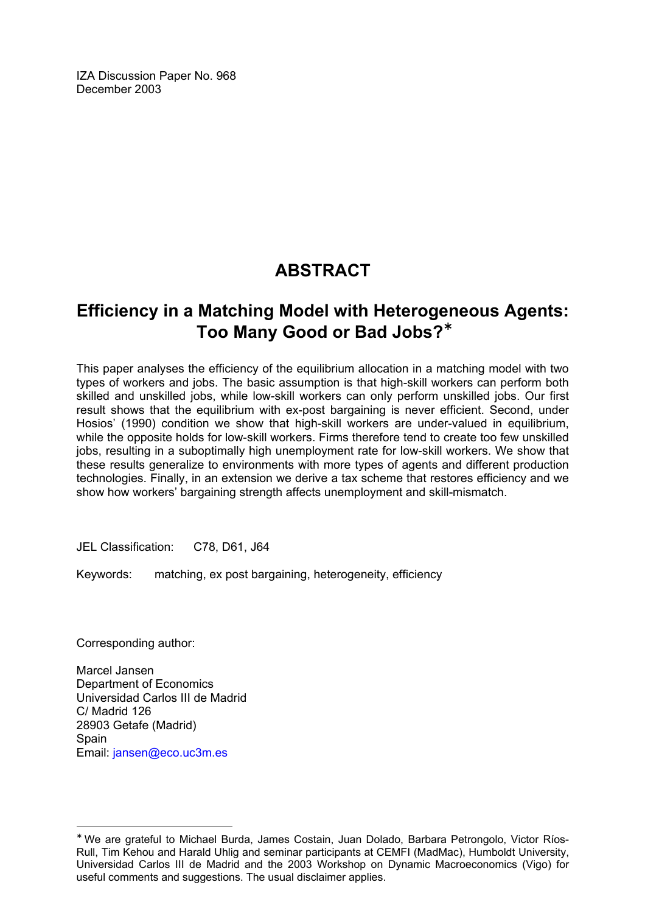IZA Discussion Paper No. 968 December 2003

### **ABSTRACT**

### **Efficiency in a Matching Model with Heterogeneous Agents: Too Many Good or Bad Jobs?**[∗](#page-2-0)

This paper analyses the efficiency of the equilibrium allocation in a matching model with two types of workers and jobs. The basic assumption is that high-skill workers can perform both skilled and unskilled jobs, while low-skill workers can only perform unskilled jobs. Our first result shows that the equilibrium with ex-post bargaining is never efficient. Second, under Hosios' (1990) condition we show that high-skill workers are under-valued in equilibrium, while the opposite holds for low-skill workers. Firms therefore tend to create too few unskilled jobs, resulting in a suboptimally high unemployment rate for low-skill workers. We show that these results generalize to environments with more types of agents and different production technologies. Finally, in an extension we derive a tax scheme that restores efficiency and we show how workers' bargaining strength affects unemployment and skill-mismatch.

JEL Classification: C78, D61, J64

Keywords: matching, ex post bargaining, heterogeneity, efficiency

Corresponding author:

 $\overline{a}$ 

Marcel Jansen Department of Economics Universidad Carlos III de Madrid C/ Madrid 126 28903 Getafe (Madrid) Spain Email: [jansen@eco.uc3m.es](mailto:jansen@eco.uc3m.es)

<span id="page-2-0"></span><sup>∗</sup> We are grateful to Michael Burda, James Costain, Juan Dolado, Barbara Petrongolo, Victor Ríos-Rull, Tim Kehou and Harald Uhlig and seminar participants at CEMFI (MadMac), Humboldt University, Universidad Carlos III de Madrid and the 2003 Workshop on Dynamic Macroeconomics (Vigo) for useful comments and suggestions. The usual disclaimer applies.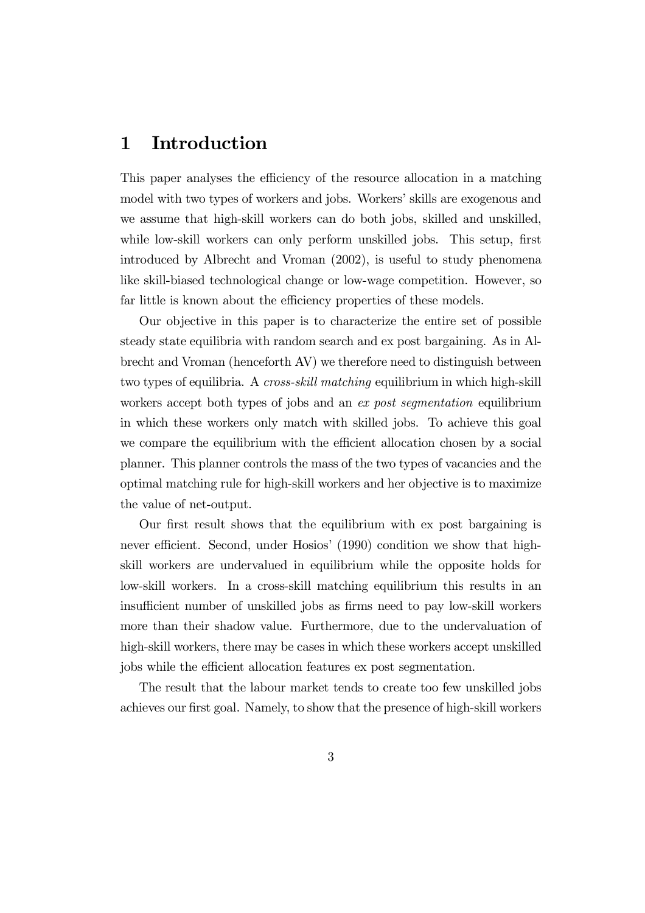### 1 Introduction

This paper analyses the efficiency of the resource allocation in a matching model with two types of workers and jobs. Workers' skills are exogenous and we assume that high-skill workers can do both jobs, skilled and unskilled, while low-skill workers can only perform unskilled jobs. This setup, first introduced by Albrecht and Vroman (2002), is useful to study phenomena like skill-biased technological change or low-wage competition. However, so far little is known about the efficiency properties of these models.

Our objective in this paper is to characterize the entire set of possible steady state equilibria with random search and ex post bargaining. As in Albrecht and Vroman (henceforth AV) we therefore need to distinguish between two types of equilibria. A *cross-skill matching* equilibrium in which high-skill workers accept both types of jobs and an ex post segmentation equilibrium in which these workers only match with skilled jobs. To achieve this goal we compare the equilibrium with the efficient allocation chosen by a social planner. This planner controls the mass of the two types of vacancies and the optimal matching rule for high-skill workers and her objective is to maximize the value of net-output.

Our first result shows that the equilibrium with ex post bargaining is never efficient. Second, under Hosios' (1990) condition we show that highskill workers are undervalued in equilibrium while the opposite holds for low-skill workers. In a cross-skill matching equilibrium this results in an insufficient number of unskilled jobs as firms need to pay low-skill workers more than their shadow value. Furthermore, due to the undervaluation of high-skill workers, there may be cases in which these workers accept unskilled jobs while the efficient allocation features ex post segmentation.

The result that the labour market tends to create too few unskilled jobs achieves our first goal. Namely, to show that the presence of high-skill workers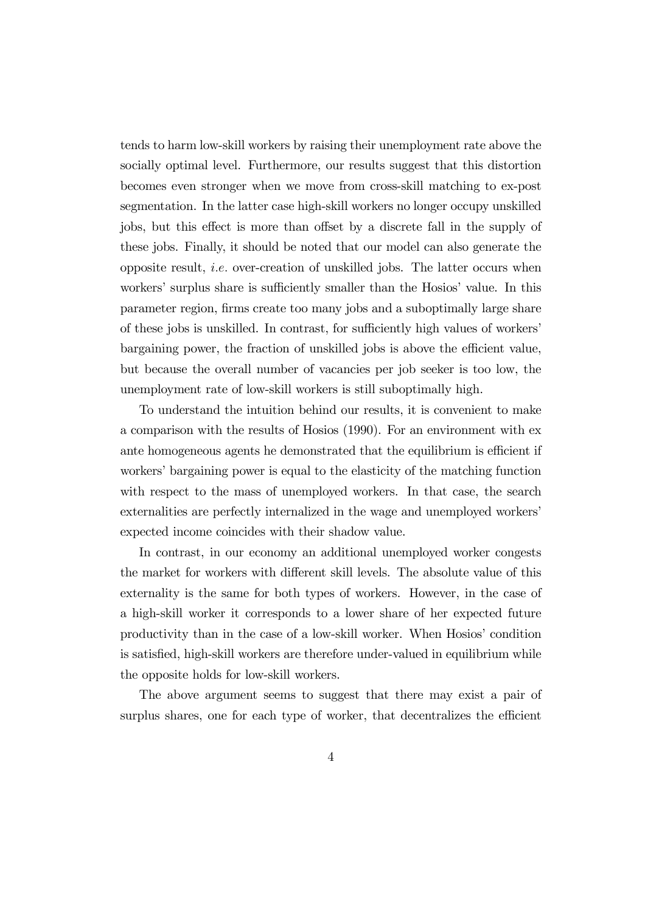tends to harm low-skill workers by raising their unemployment rate above the socially optimal level. Furthermore, our results suggest that this distortion becomes even stronger when we move from cross-skill matching to ex-post segmentation. In the latter case high-skill workers no longer occupy unskilled jobs, but this effect is more than offset by a discrete fall in the supply of these jobs. Finally, it should be noted that our model can also generate the opposite result, *i.e.* over-creation of unskilled jobs. The latter occurs when workers' surplus share is sufficiently smaller than the Hosios' value. In this parameter region, firms create too many jobs and a suboptimally large share of these jobs is unskilled. In contrast, for sufficiently high values of workers' bargaining power, the fraction of unskilled jobs is above the efficient value, but because the overall number of vacancies per job seeker is too low, the unemployment rate of low-skill workers is still suboptimally high.

To understand the intuition behind our results, it is convenient to make a comparison with the results of Hosios (1990). For an environment with ex ante homogeneous agents he demonstrated that the equilibrium is efficient if workers' bargaining power is equal to the elasticity of the matching function with respect to the mass of unemployed workers. In that case, the search externalities are perfectly internalized in the wage and unemployed workers' expected income coincides with their shadow value.

In contrast, in our economy an additional unemployed worker congests the market for workers with different skill levels. The absolute value of this externality is the same for both types of workers. However, in the case of a high-skill worker it corresponds to a lower share of her expected future productivity than in the case of a low-skill worker. When Hosios' condition is satisfied, high-skill workers are therefore under-valued in equilibrium while the opposite holds for low-skill workers.

The above argument seems to suggest that there may exist a pair of surplus shares, one for each type of worker, that decentralizes the efficient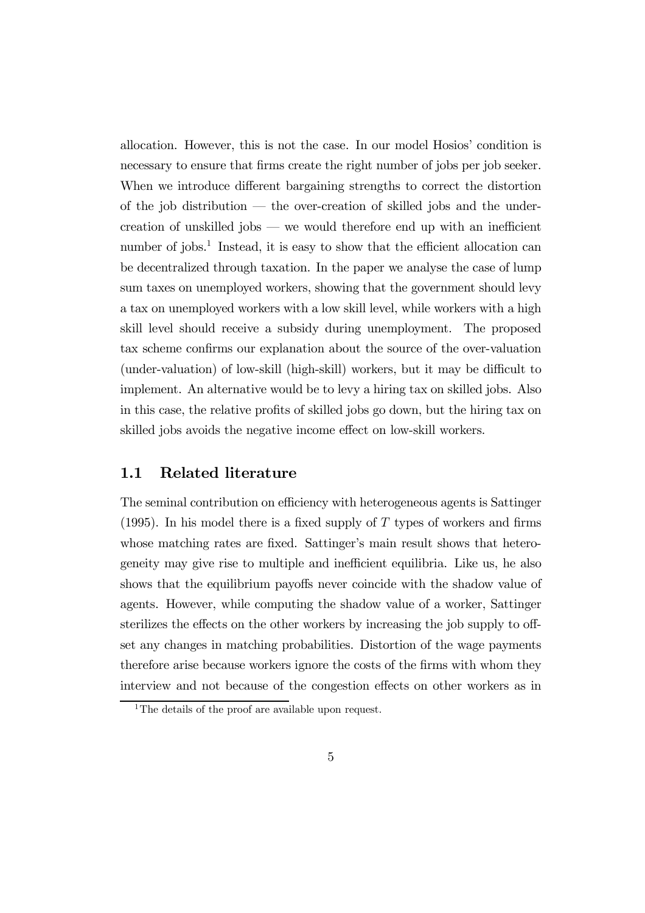allocation. However, this is not the case. In our model Hosios' condition is necessary to ensure that firms create the right number of jobs per job seeker. When we introduce different bargaining strengths to correct the distortion of the job distribution – the over-creation of skilled jobs and the undercreation of unskilled jobs — we would therefore end up with an inefficient number of jobs.<sup>1</sup> Instead, it is easy to show that the efficient allocation can be decentralized through taxation. In the paper we analyse the case of lump sum taxes on unemployed workers, showing that the government should levy a tax on unemployed workers with a low skill level, while workers with a high skill level should receive a subsidy during unemployment. The proposed tax scheme confirms our explanation about the source of the over-valuation (under-valuation) of low-skill (high-skill) workers, but it may be difficult to implement. An alternative would be to levy a hiring tax on skilled jobs. Also in this case, the relative profits of skilled jobs go down, but the hiring tax on skilled jobs avoids the negative income effect on low-skill workers.

#### 1.1 Related literature

The seminal contribution on efficiency with heterogeneous agents is Sattinger  $(1995)$ . In his model there is a fixed supply of T types of workers and firms whose matching rates are fixed. Sattinger's main result shows that heterogeneity may give rise to multiple and inefficient equilibria. Like us, he also shows that the equilibrium payoffs never coincide with the shadow value of agents. However, while computing the shadow value of a worker, Sattinger sterilizes the effects on the other workers by increasing the job supply to offset any changes in matching probabilities. Distortion of the wage payments therefore arise because workers ignore the costs of the firms with whom they interview and not because of the congestion effects on other workers as in

<sup>&</sup>lt;sup>1</sup>The details of the proof are available upon request.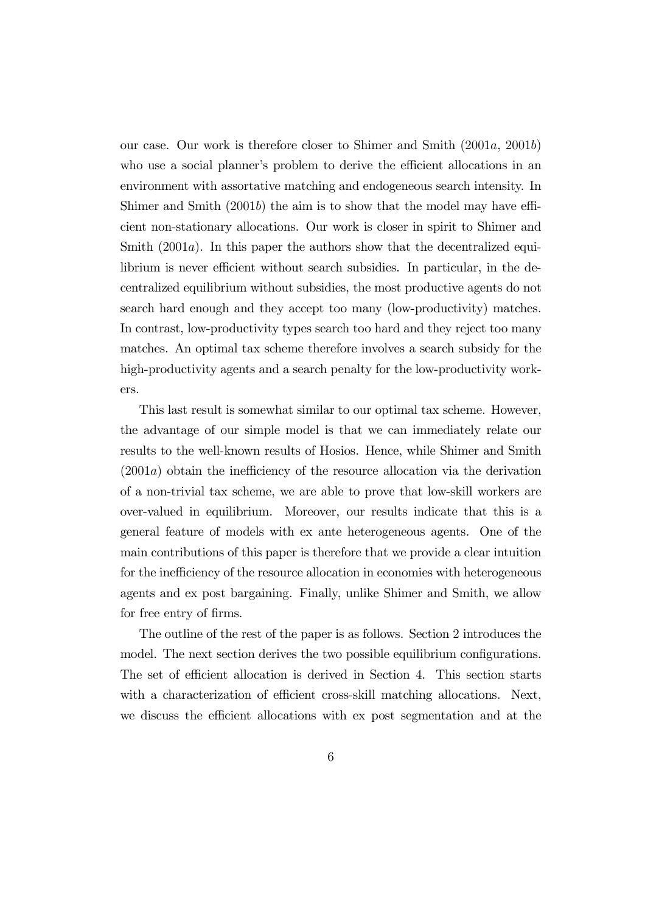our case. Our work is therefore closer to Shimer and Smith (2001a, 2001b) who use a social planner's problem to derive the efficient allocations in an environment with assortative matching and endogeneous search intensity. In Shimer and Smith (2001b) the aim is to show that the model may have efficient non-stationary allocations. Our work is closer in spirit to Shimer and Smith (2001a). In this paper the authors show that the decentralized equilibrium is never efficient without search subsidies. In particular, in the decentralized equilibrium without subsidies, the most productive agents do not search hard enough and they accept too many (low-productivity) matches. In contrast, low-productivity types search too hard and they reject too many matches. An optimal tax scheme therefore involves a search subsidy for the high-productivity agents and a search penalty for the low-productivity workers.

This last result is somewhat similar to our optimal tax scheme. However, the advantage of our simple model is that we can immediately relate our results to the well-known results of Hosios. Hence, while Shimer and Smith (2001a) obtain the inefficiency of the resource allocation via the derivation of a non-trivial tax scheme, we are able to prove that low-skill workers are over-valued in equilibrium. Moreover, our results indicate that this is a general feature of models with ex ante heterogeneous agents. One of the main contributions of this paper is therefore that we provide a clear intuition for the inefficiency of the resource allocation in economies with heterogeneous agents and ex post bargaining. Finally, unlike Shimer and Smith, we allow for free entry of firms.

The outline of the rest of the paper is as follows. Section 2 introduces the model. The next section derives the two possible equilibrium configurations. The set of efficient allocation is derived in Section 4. This section starts with a characterization of efficient cross-skill matching allocations. Next, we discuss the efficient allocations with ex post segmentation and at the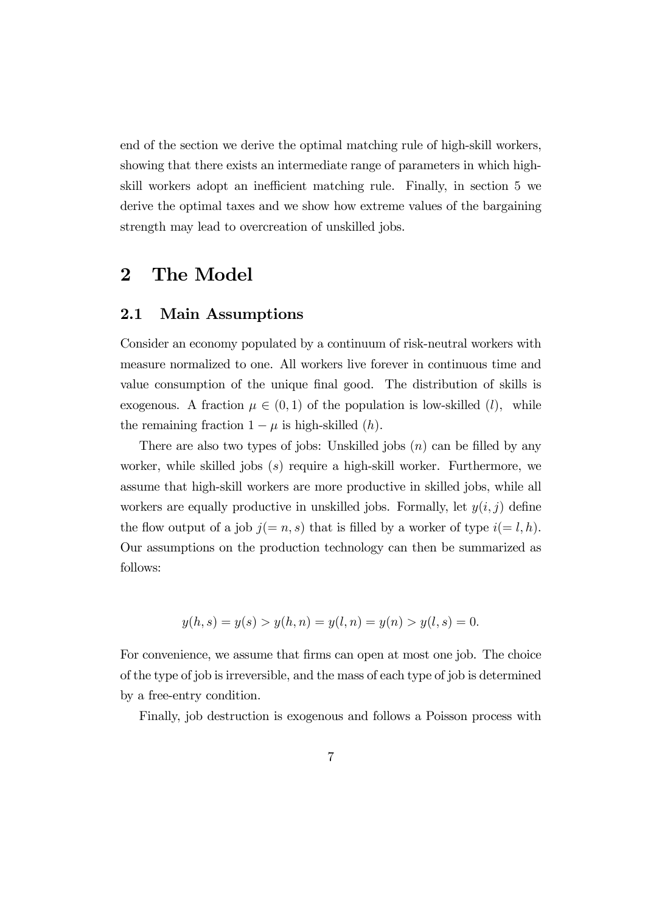end of the section we derive the optimal matching rule of high-skill workers, showing that there exists an intermediate range of parameters in which highskill workers adopt an inefficient matching rule. Finally, in section 5 we derive the optimal taxes and we show how extreme values of the bargaining strength may lead to overcreation of unskilled jobs.

### 2 The Model

#### 2.1 Main Assumptions

Consider an economy populated by a continuum of risk-neutral workers with measure normalized to one. All workers live forever in continuous time and value consumption of the unique final good. The distribution of skills is exogenous. A fraction  $\mu \in (0,1)$  of the population is low-skilled (*l*), while the remaining fraction  $1 - \mu$  is high-skilled  $(h)$ .

There are also two types of jobs: Unskilled jobs  $(n)$  can be filled by any worker, while skilled jobs (s) require a high-skill worker. Furthermore, we assume that high-skill workers are more productive in skilled jobs, while all workers are equally productive in unskilled jobs. Formally, let  $y(i, j)$  define the flow output of a job  $j(=n, s)$  that is filled by a worker of type  $i(= l, h)$ . Our assumptions on the production technology can then be summarized as follows:

$$
y(h, s) = y(s) > y(h, n) = y(l, n) = y(n) > y(l, s) = 0.
$$

For convenience, we assume that firms can open at most one job. The choice of the type of job is irreversible, and the mass of each type of job is determined by a free-entry condition.

Finally, job destruction is exogenous and follows a Poisson process with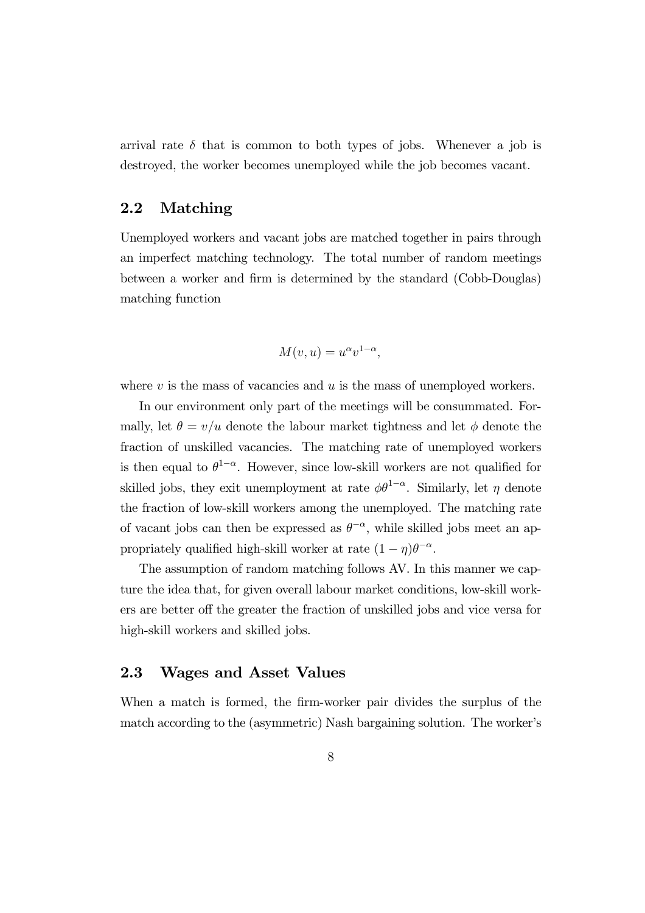arrival rate  $\delta$  that is common to both types of jobs. Whenever a job is destroyed, the worker becomes unemployed while the job becomes vacant.

#### 2.2 Matching

Unemployed workers and vacant jobs are matched together in pairs through an imperfect matching technology. The total number of random meetings between a worker and firm is determined by the standard (Cobb-Douglas) matching function

$$
M(v, u) = u^{\alpha} v^{1-\alpha},
$$

where  $v$  is the mass of vacancies and  $u$  is the mass of unemployed workers.

In our environment only part of the meetings will be consummated. Formally, let  $\theta = v/u$  denote the labour market tightness and let  $\phi$  denote the fraction of unskilled vacancies. The matching rate of unemployed workers is then equal to  $\theta^{1-\alpha}$ . However, since low-skill workers are not qualified for skilled jobs, they exit unemployment at rate  $\phi \theta^{1-\alpha}$ . Similarly, let  $\eta$  denote the fraction of low-skill workers among the unemployed. The matching rate of vacant jobs can then be expressed as  $\theta^{-\alpha}$ , while skilled jobs meet an appropriately qualified high-skill worker at rate  $(1 - \eta)\theta^{-\alpha}$ .

The assumption of random matching follows AV. In this manner we capture the idea that, for given overall labour market conditions, low-skill workers are better off the greater the fraction of unskilled jobs and vice versa for high-skill workers and skilled jobs.

#### 2.3 Wages and Asset Values

When a match is formed, the firm-worker pair divides the surplus of the match according to the (asymmetric) Nash bargaining solution. The worker's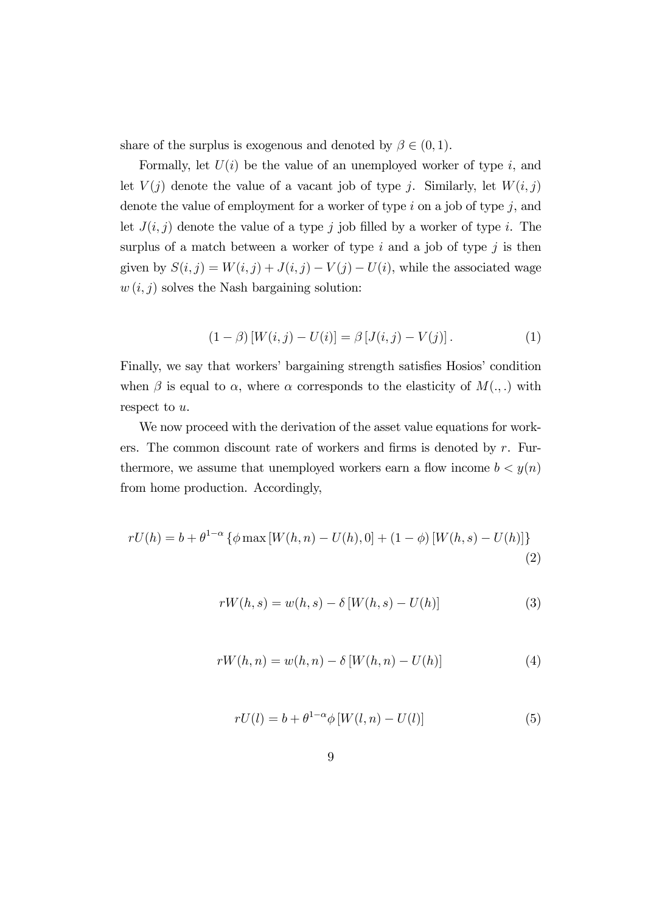share of the surplus is exogenous and denoted by  $\beta \in (0,1)$ .

Formally, let  $U(i)$  be the value of an unemployed worker of type i, and let  $V(j)$  denote the value of a vacant job of type j. Similarly, let  $W(i, j)$ denote the value of employment for a worker of type  $i$  on a job of type  $j$ , and let  $J(i, j)$  denote the value of a type j job filled by a worker of type i. The surplus of a match between a worker of type  $i$  and a job of type  $j$  is then given by  $S(i, j) = W(i, j) + J(i, j) - V(j) - U(i)$ , while the associated wage  $w(i, j)$  solves the Nash bargaining solution:

$$
(1 - \beta) [W(i, j) - U(i)] = \beta [J(i, j) - V(j)].
$$
\n(1)

Finally, we say that workers' bargaining strength satisfies Hosios' condition when  $\beta$  is equal to  $\alpha$ , where  $\alpha$  corresponds to the elasticity of  $M(.,.)$  with respect to u.

We now proceed with the derivation of the asset value equations for workers. The common discount rate of workers and firms is denoted by  $r$ . Furthermore, we assume that unemployed workers earn a flow income  $b < y(n)$ from home production. Accordingly,

$$
rU(h) = b + \theta^{1-\alpha} \{ \phi \max[W(h, n) - U(h), 0] + (1 - \phi) [W(h, s) - U(h)] \}
$$
\n(2)

$$
rW(h, s) = w(h, s) - \delta[W(h, s) - U(h)]
$$
\n(3)

$$
rW(h, n) = w(h, n) - \delta[W(h, n) - U(h)]
$$
\n(4)

$$
rU(l) = b + \theta^{1-\alpha} \phi \left[ W(l, n) - U(l) \right] \tag{5}
$$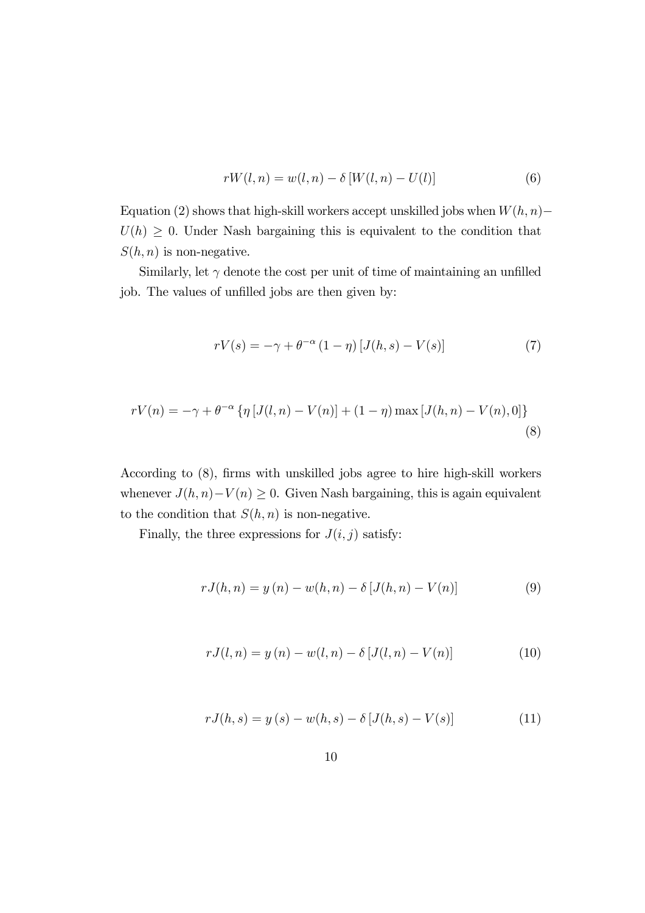$$
rW(l, n) = w(l, n) - \delta[W(l, n) - U(l)]
$$
\n(6)

Equation (2) shows that high-skill workers accept unskilled jobs when  $W(h, n)$ −  $U(h) \geq 0$ . Under Nash bargaining this is equivalent to the condition that  $S(h, n)$  is non-negative.

Similarly, let  $\gamma$  denote the cost per unit of time of maintaining an unfilled job. The values of unfilled jobs are then given by:

$$
rV(s) = -\gamma + \theta^{-\alpha} (1 - \eta) [J(h, s) - V(s)] \tag{7}
$$

$$
rV(n) = -\gamma + \theta^{-\alpha} \{ \eta \left[ J(l, n) - V(n) \right] + (1 - \eta) \max \left[ J(h, n) - V(n), 0 \right] \}
$$
\n(8)

According to (8), firms with unskilled jobs agree to hire high-skill workers whenever  $J(h, n)-V(n) \geq 0$ . Given Nash bargaining, this is again equivalent to the condition that  $S(h, n)$  is non-negative.

Finally, the three expressions for  $J(i, j)$  satisfy:

$$
rJ(h,n) = y(n) - w(h,n) - \delta [J(h,n) - V(n)] \tag{9}
$$

$$
rJ(l,n) = y(n) - w(l,n) - \delta [J(l,n) - V(n)] \tag{10}
$$

$$
rJ(h,s) = y(s) - w(h,s) - \delta [J(h,s) - V(s)] \tag{11}
$$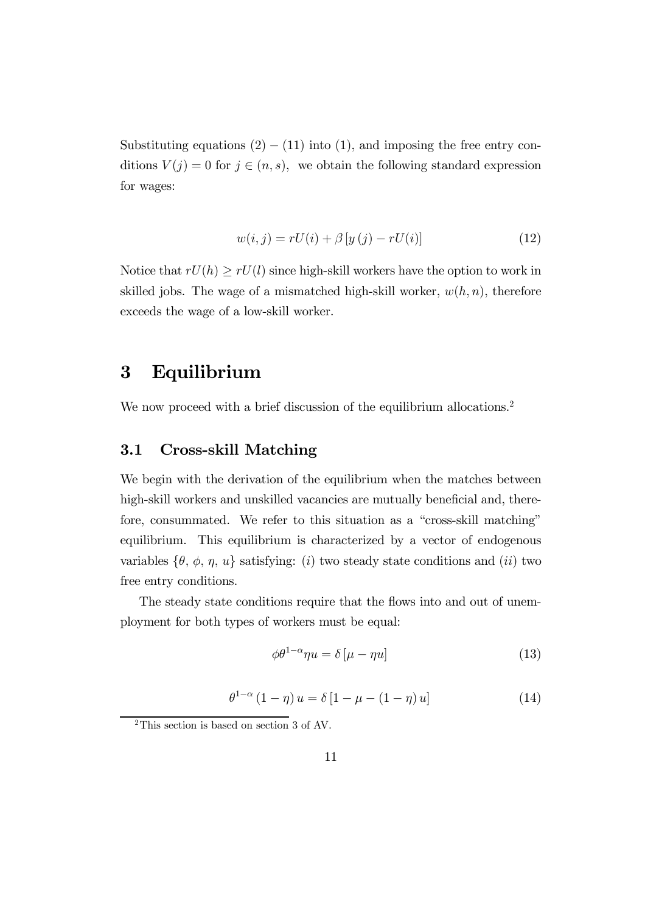Substituting equations  $(2) - (11)$  into  $(1)$ , and imposing the free entry conditions  $V(j)=0$  for  $j \in (n, s)$ , we obtain the following standard expression for wages:

$$
w(i, j) = rU(i) + \beta [y(j) - rU(i)] \tag{12}
$$

Notice that  $rU(h) \geq rU(l)$  since high-skill workers have the option to work in skilled jobs. The wage of a mismatched high-skill worker,  $w(h, n)$ , therefore exceeds the wage of a low-skill worker.

### 3 Equilibrium

We now proceed with a brief discussion of the equilibrium allocations.<sup>2</sup>

#### 3.1 Cross-skill Matching

We begin with the derivation of the equilibrium when the matches between high-skill workers and unskilled vacancies are mutually beneficial and, therefore, consummated. We refer to this situation as a "cross-skill matching" equilibrium. This equilibrium is characterized by a vector of endogenous variables  $\{\theta, \phi, \eta, u\}$  satisfying: (i) two steady state conditions and (ii) two free entry conditions.

The steady state conditions require that the flows into and out of unemployment for both types of workers must be equal:

$$
\phi \theta^{1-\alpha} \eta u = \delta \left[ \mu - \eta u \right] \tag{13}
$$

$$
\theta^{1-\alpha} (1-\eta) u = \delta [1 - \mu - (1-\eta) u] \tag{14}
$$

<sup>2</sup>This section is based on section 3 of AV.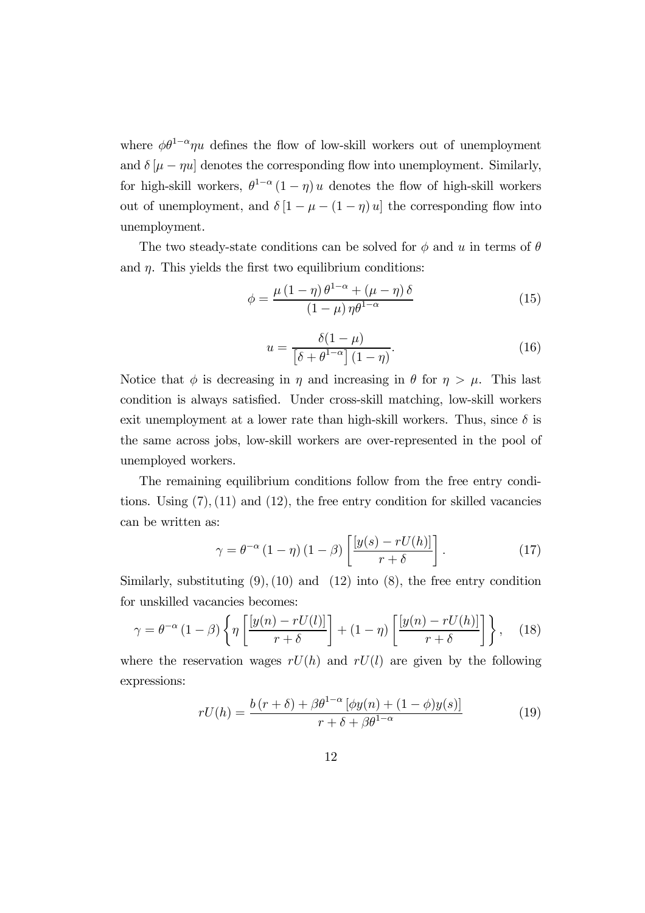where  $\phi\theta^{1-\alpha}\eta u$  defines the flow of low-skill workers out of unemployment and  $\delta[\mu - \eta u]$  denotes the corresponding flow into unemployment. Similarly, for high-skill workers,  $\theta^{1-\alpha} (1 - \eta) u$  denotes the flow of high-skill workers out of unemployment, and  $\delta [1 - \mu - (1 - \eta) u]$  the corresponding flow into unemployment.

The two steady-state conditions can be solved for  $\phi$  and u in terms of  $\theta$ and  $\eta$ . This yields the first two equilibrium conditions:

$$
\phi = \frac{\mu \left(1 - \eta\right) \theta^{1 - \alpha} + \left(\mu - \eta\right) \delta}{\left(1 - \mu\right) \eta \theta^{1 - \alpha}}\tag{15}
$$

$$
u = \frac{\delta(1-\mu)}{\left[\delta + \theta^{1-\alpha}\right](1-\eta)}.\tag{16}
$$

Notice that  $\phi$  is decreasing in  $\eta$  and increasing in  $\theta$  for  $\eta > \mu$ . This last condition is always satisfied. Under cross-skill matching, low-skill workers exit unemployment at a lower rate than high-skill workers. Thus, since  $\delta$  is the same across jobs, low-skill workers are over-represented in the pool of unemployed workers.

The remaining equilibrium conditions follow from the free entry conditions. Using  $(7)$ ,  $(11)$  and  $(12)$ , the free entry condition for skilled vacancies can be written as:

$$
\gamma = \theta^{-\alpha} (1 - \eta) (1 - \beta) \left[ \frac{[y(s) - rU(h)]}{r + \delta} \right]. \tag{17}
$$

Similarly, substituting  $(9)$ ,  $(10)$  and  $(12)$  into  $(8)$ , the free entry condition for unskilled vacancies becomes:

$$
\gamma = \theta^{-\alpha} (1 - \beta) \left\{ \eta \left[ \frac{[y(n) - rU(l)]}{r + \delta} \right] + (1 - \eta) \left[ \frac{[y(n) - rU(h)]}{r + \delta} \right] \right\}, \quad (18)
$$

where the reservation wages  $rU(h)$  and  $rU(l)$  are given by the following expressions:

$$
rU(h) = \frac{b(r+\delta) + \beta \theta^{1-\alpha} \left[ \phi y(n) + (1-\phi)y(s) \right]}{r+\delta + \beta \theta^{1-\alpha}}
$$
(19)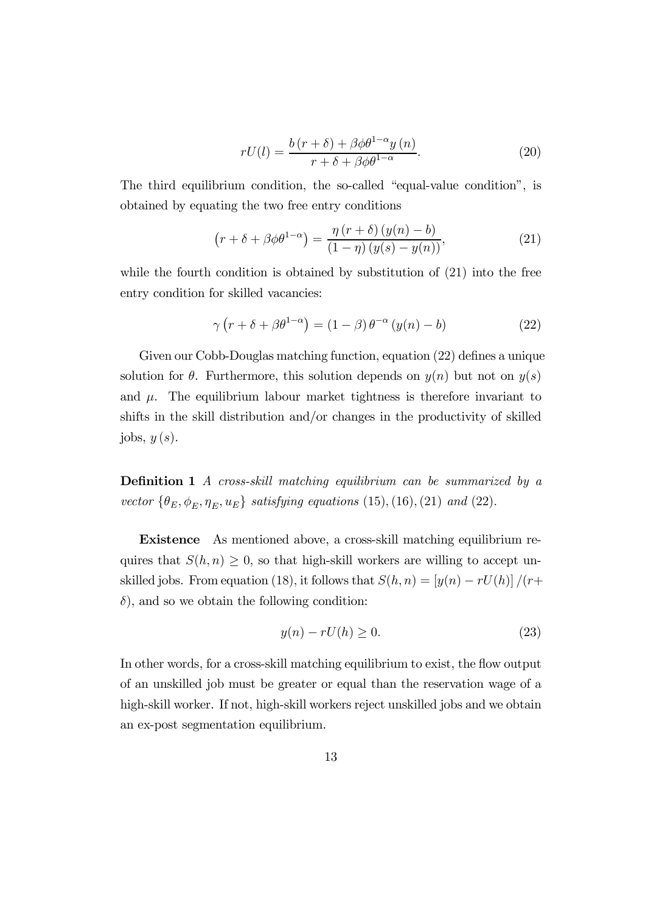$$
rU(l) = \frac{b(r+\delta) + \beta \phi \theta^{1-\alpha} y(n)}{r+\delta + \beta \phi \theta^{1-\alpha}}.
$$
\n(20)

The third equilibrium condition, the so-called "equal-value condition", is obtained by equating the two free entry conditions

$$
\left(r+\delta+\beta\phi\theta^{1-\alpha}\right)=\frac{\eta\left(r+\delta\right)\left(y(n)-b\right)}{\left(1-\eta\right)\left(y(s)-y(n)\right)},\tag{21}
$$

while the fourth condition is obtained by substitution of  $(21)$  into the free entry condition for skilled vacancies:

$$
\gamma \left( r + \delta + \beta \theta^{1-\alpha} \right) = (1 - \beta) \theta^{-\alpha} \left( y(n) - b \right) \tag{22}
$$

Given our Cobb-Douglas matching function, equation (22) defines a unique solution for  $\theta$ . Furthermore, this solution depends on  $y(n)$  but not on  $y(s)$ and  $\mu$ . The equilibrium labour market tightness is therefore invariant to shifts in the skill distribution and/or changes in the productivity of skilled jobs,  $y(s)$ .

Definition 1 A cross-skill matching equilibrium can be summarized by a vector  $\{\theta_E, \phi_E, \eta_E, u_E\}$  satisfying equations (15), (16), (21) and (22).

Existence As mentioned above, a cross-skill matching equilibrium requires that  $S(h, n) \geq 0$ , so that high-skill workers are willing to accept unskilled jobs. From equation (18), it follows that  $S(h, n)=[y(n) - rU(h)]/(r+$  $\delta$ , and so we obtain the following condition:

$$
y(n) - rU(h) \ge 0.
$$
\n<sup>(23)</sup>

In other words, for a cross-skill matching equilibrium to exist, the flow output of an unskilled job must be greater or equal than the reservation wage of a high-skill worker. If not, high-skill workers reject unskilled jobs and we obtain an ex-post segmentation equilibrium.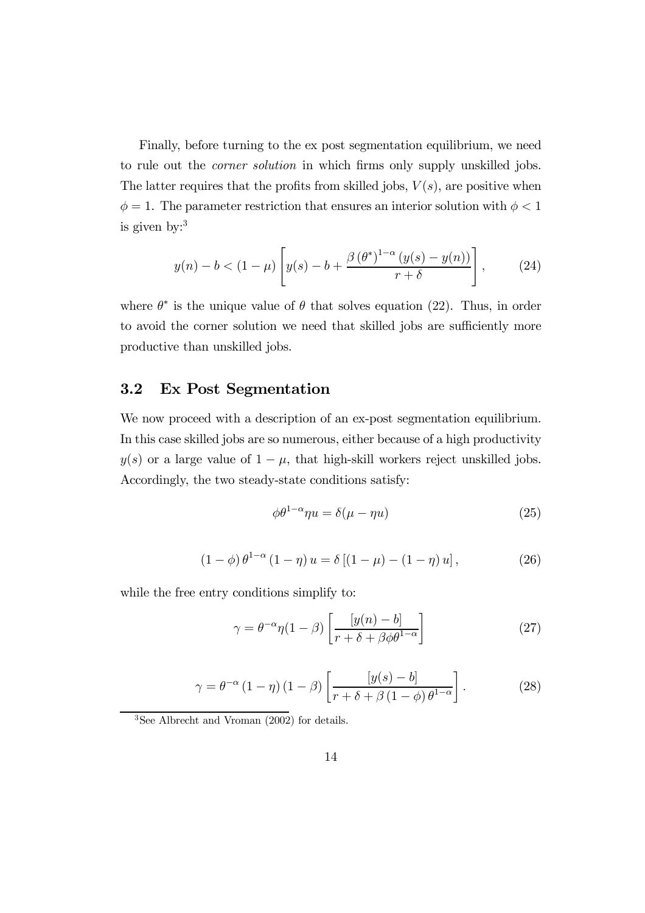Finally, before turning to the ex post segmentation equilibrium, we need to rule out the corner solution in which firms only supply unskilled jobs. The latter requires that the profits from skilled jobs,  $V(s)$ , are positive when  $\phi = 1$ . The parameter restriction that ensures an interior solution with  $\phi < 1$ is given by: $3$ 

$$
y(n) - b < (1 - \mu) \left[ y(s) - b + \frac{\beta (\theta^*)^{1-\alpha} (y(s) - y(n))}{r + \delta} \right],\tag{24}
$$

where  $\theta^*$  is the unique value of  $\theta$  that solves equation (22). Thus, in order to avoid the corner solution we need that skilled jobs are sufficiently more productive than unskilled jobs.

#### 3.2 Ex Post Segmentation

We now proceed with a description of an ex-post segmentation equilibrium. In this case skilled jobs are so numerous, either because of a high productivity  $y(s)$  or a large value of  $1 - \mu$ , that high-skill workers reject unskilled jobs. Accordingly, the two steady-state conditions satisfy:

$$
\phi \theta^{1-\alpha} \eta u = \delta(\mu - \eta u) \tag{25}
$$

$$
(1 - \phi) \theta^{1 - \alpha} (1 - \eta) u = \delta [(1 - \mu) - (1 - \eta) u], \qquad (26)
$$

while the free entry conditions simplify to:

$$
\gamma = \theta^{-\alpha} \eta (1 - \beta) \left[ \frac{[y(n) - b]}{r + \delta + \beta \phi \theta^{1 - \alpha}} \right]
$$
 (27)

$$
\gamma = \theta^{-\alpha} (1 - \eta) (1 - \beta) \left[ \frac{[y(s) - b]}{r + \delta + \beta (1 - \phi) \theta^{1 - \alpha}} \right].
$$
 (28)

3See Albrecht and Vroman (2002) for details.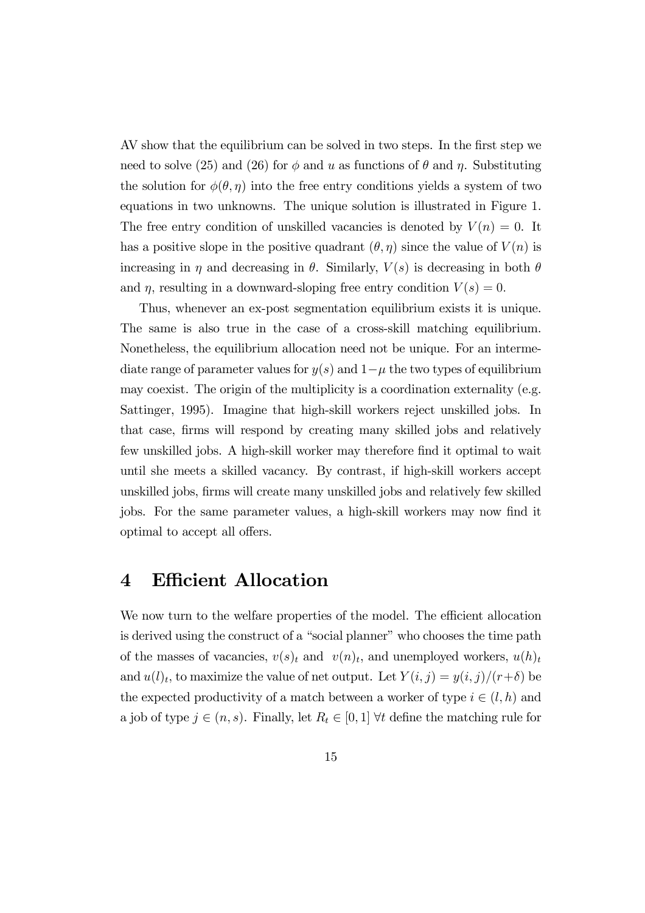AV show that the equilibrium can be solved in two steps. In the first step we need to solve (25) and (26) for  $\phi$  and u as functions of  $\theta$  and  $\eta$ . Substituting the solution for  $\phi(\theta, \eta)$  into the free entry conditions yields a system of two equations in two unknowns. The unique solution is illustrated in Figure 1. The free entry condition of unskilled vacancies is denoted by  $V(n)=0$ . It has a positive slope in the positive quadrant  $(\theta, \eta)$  since the value of  $V(n)$  is increasing in  $\eta$  and decreasing in  $\theta$ . Similarly,  $V(s)$  is decreasing in both  $\theta$ and  $\eta$ , resulting in a downward-sloping free entry condition  $V(s)=0$ .

Thus, whenever an ex-post segmentation equilibrium exists it is unique. The same is also true in the case of a cross-skill matching equilibrium. Nonetheless, the equilibrium allocation need not be unique. For an intermediate range of parameter values for  $y(s)$  and  $1-\mu$  the two types of equilibrium may coexist. The origin of the multiplicity is a coordination externality (e.g. Sattinger, 1995). Imagine that high-skill workers reject unskilled jobs. In that case, firms will respond by creating many skilled jobs and relatively few unskilled jobs. A high-skill worker may therefore find it optimal to wait until she meets a skilled vacancy. By contrast, if high-skill workers accept unskilled jobs, firms will create many unskilled jobs and relatively few skilled jobs. For the same parameter values, a high-skill workers may now find it optimal to accept all offers.

### 4 Efficient Allocation

We now turn to the welfare properties of the model. The efficient allocation is derived using the construct of a "social planner" who chooses the time path of the masses of vacancies,  $v(s)_t$  and  $v(n)_t$ , and unemployed workers,  $u(h)_t$ and  $u(l)<sub>t</sub>$ , to maximize the value of net output. Let  $Y(i, j) = y(i, j)/(r+\delta)$  be the expected productivity of a match between a worker of type  $i \in (l, h)$  and a job of type  $j \in (n, s)$ . Finally, let  $R_t \in [0, 1]$   $\forall t$  define the matching rule for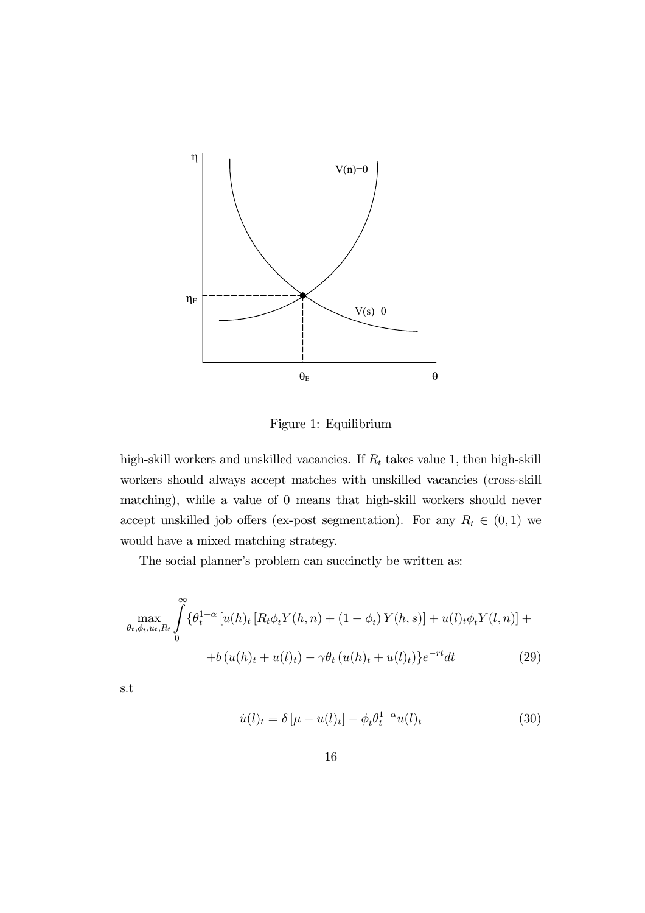

Figure 1: Equilibrium

high-skill workers and unskilled vacancies. If  $\mathcal{R}_t$  takes value 1, then high-skill workers should always accept matches with unskilled vacancies (cross-skill matching), while a value of 0 means that high-skill workers should never accept unskilled job offers (ex-post segmentation). For any  $R_t \in (0,1)$  we would have a mixed matching strategy.

The social planner's problem can succinctly be written as:

$$
\max_{\theta_t, \phi_t, u_t, R_t} \int_0^{\infty} {\{\theta_t^{1-\alpha} [u(h)_t [R_t \phi_t Y(h, n) + (1 - \phi_t) Y(h, s)] + u(l)_t \phi_t Y(l, n)] ++ b(u(h)_t + u(l)_t) - \gamma \theta_t (u(h)_t + u(l)_t)\} e^{-rt} dt}
$$
(29)

s.t

$$
\dot{u}(l)_t = \delta \left[ \mu - u(l)_t \right] - \phi_t \theta_t^{1-\alpha} u(l)_t \tag{30}
$$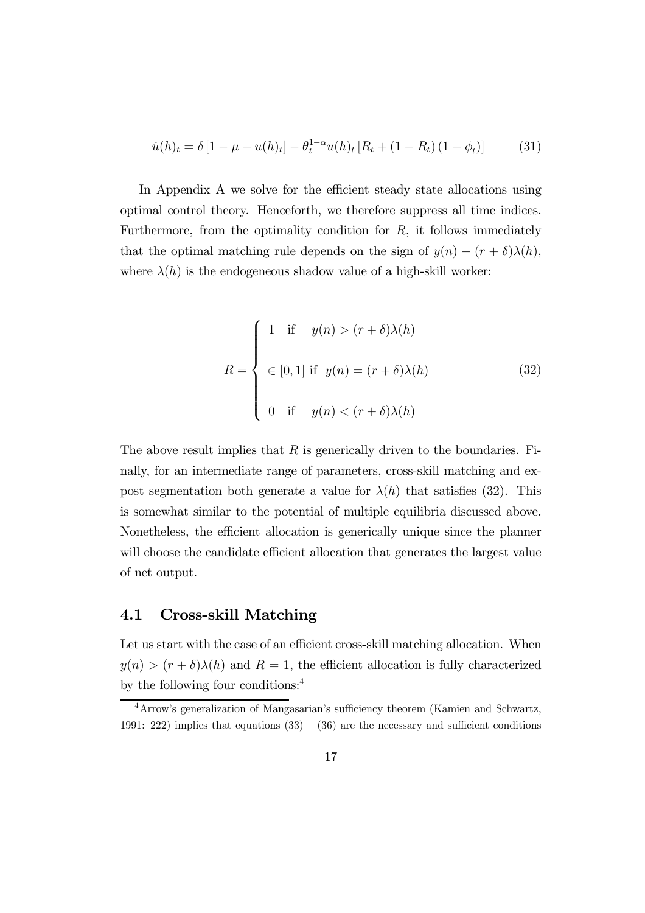$$
\dot{u}(h)_t = \delta \left[ 1 - \mu - u(h)_t \right] - \theta_t^{1-\alpha} u(h)_t \left[ R_t + (1 - R_t) \left( 1 - \phi_t \right) \right] \tag{31}
$$

In Appendix A we solve for the efficient steady state allocations using optimal control theory. Henceforth, we therefore suppress all time indices. Furthermore, from the optimality condition for  $R$ , it follows immediately that the optimal matching rule depends on the sign of  $y(n) - (r + \delta)\lambda(h)$ , where  $\lambda(h)$  is the endogeneous shadow value of a high-skill worker:

$$
R = \begin{cases} 1 & \text{if } y(n) > (r + \delta)\lambda(h) \\ \in [0, 1] \text{ if } y(n) = (r + \delta)\lambda(h) \\ 0 & \text{if } y(n) < (r + \delta)\lambda(h) \end{cases}
$$
(32)

The above result implies that  $R$  is generically driven to the boundaries. Finally, for an intermediate range of parameters, cross-skill matching and expost segmentation both generate a value for  $\lambda(h)$  that satisfies (32). This is somewhat similar to the potential of multiple equilibria discussed above. Nonetheless, the efficient allocation is generically unique since the planner will choose the candidate efficient allocation that generates the largest value of net output.

#### 4.1 Cross-skill Matching

Let us start with the case of an efficient cross-skill matching allocation. When  $y(n) > (r + \delta)\lambda(h)$  and  $R = 1$ , the efficient allocation is fully characterized by the following four conditions:4

<sup>4</sup>Arrow's generalization of Mangasarian's sufficiency theorem (Kamien and Schwartz, 1991: 222) implies that equations  $(33) - (36)$  are the necessary and sufficient conditions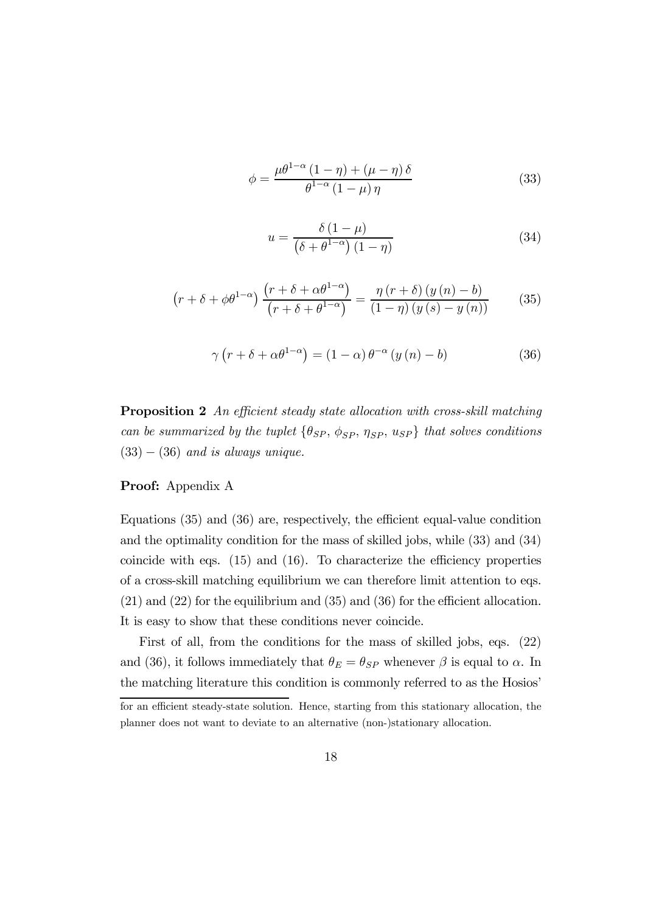$$
\phi = \frac{\mu \theta^{1-\alpha} (1-\eta) + (\mu - \eta) \delta}{\theta^{1-\alpha} (1-\mu) \eta}
$$
\n(33)

$$
u = \frac{\delta (1 - \mu)}{\left(\delta + \theta^{1 - \alpha}\right)(1 - \eta)}\tag{34}
$$

$$
\left(r+\delta+\phi\theta^{1-\alpha}\right)\frac{\left(r+\delta+\alpha\theta^{1-\alpha}\right)}{\left(r+\delta+\theta^{1-\alpha}\right)} = \frac{\eta\left(r+\delta\right)\left(y\left(n\right)-b\right)}{\left(1-\eta\right)\left(y\left(s\right)-y\left(n\right)\right)}\tag{35}
$$

$$
\gamma \left( r + \delta + \alpha \theta^{1-\alpha} \right) = (1 - \alpha) \theta^{-\alpha} \left( y \left( n \right) - b \right) \tag{36}
$$

Proposition 2 An efficient steady state allocation with cross-skill matching can be summarized by the tuplet  $\{\theta_{SP}, \phi_{SP}, \eta_{SP}, u_{SP}\}$  that solves conditions  $(33) - (36)$  and is always unique.

#### Proof: Appendix A

Equations (35) and (36) are, respectively, the efficient equal-value condition and the optimality condition for the mass of skilled jobs, while (33) and (34) coincide with eqs. (15) and (16). To characterize the efficiency properties of a cross-skill matching equilibrium we can therefore limit attention to eqs. (21) and (22) for the equilibrium and (35) and (36) for the efficient allocation. It is easy to show that these conditions never coincide.

First of all, from the conditions for the mass of skilled jobs, eqs. (22) and (36), it follows immediately that  $\theta_E = \theta_{SP}$  whenever  $\beta$  is equal to  $\alpha$ . In the matching literature this condition is commonly referred to as the Hosios'

for an efficient steady-state solution. Hence, starting from this stationary allocation, the planner does not want to deviate to an alternative (non-)stationary allocation.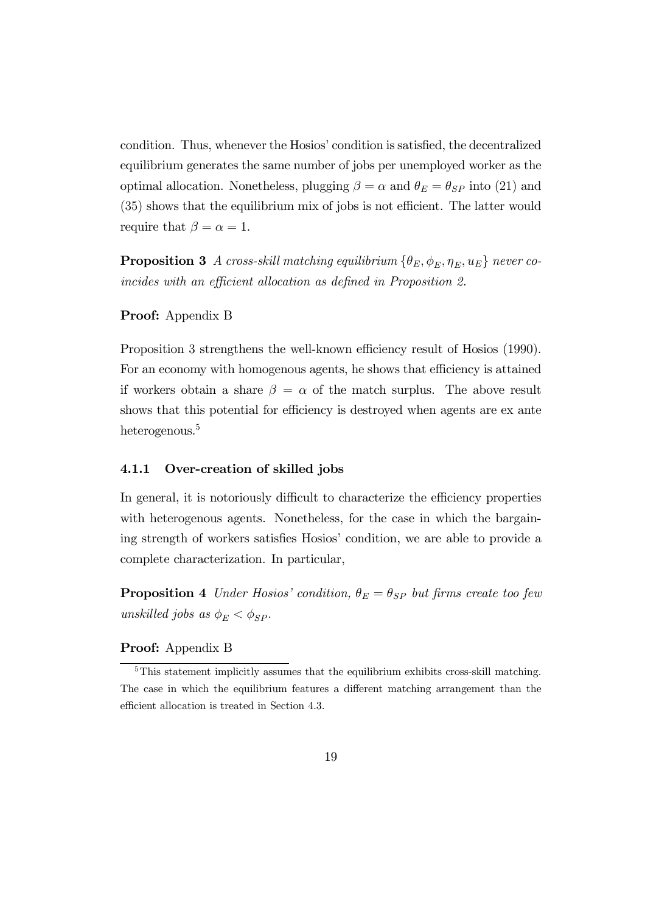condition. Thus, whenever the Hosios' condition is satisfied, the decentralized equilibrium generates the same number of jobs per unemployed worker as the optimal allocation. Nonetheless, plugging  $\beta = \alpha$  and  $\theta_E = \theta_{SP}$  into (21) and (35) shows that the equilibrium mix of jobs is not efficient. The latter would require that  $\beta = \alpha = 1$ .

**Proposition 3** A cross-skill matching equilibrium  $\{\theta_E, \phi_E, \eta_E, u_E\}$  never coincides with an efficient allocation as defined in Proposition 2.

#### Proof: Appendix B

Proposition 3 strengthens the well-known efficiency result of Hosios (1990). For an economy with homogenous agents, he shows that efficiency is attained if workers obtain a share  $\beta = \alpha$  of the match surplus. The above result shows that this potential for efficiency is destroyed when agents are ex ante heterogenous.<sup>5</sup>

#### 4.1.1 Over-creation of skilled jobs

In general, it is notoriously difficult to characterize the efficiency properties with heterogenous agents. Nonetheless, for the case in which the bargaining strength of workers satisfies Hosios' condition, we are able to provide a complete characterization. In particular,

**Proposition 4** Under Hosios' condition,  $\theta_E = \theta_{SP}$  but firms create too few unskilled jobs as  $\phi_E < \phi_{SP}$ .

#### Proof: Appendix B

<sup>&</sup>lt;sup>5</sup>This statement implicitly assumes that the equilibrium exhibits cross-skill matching. The case in which the equilibrium features a different matching arrangement than the efficient allocation is treated in Section 4.3.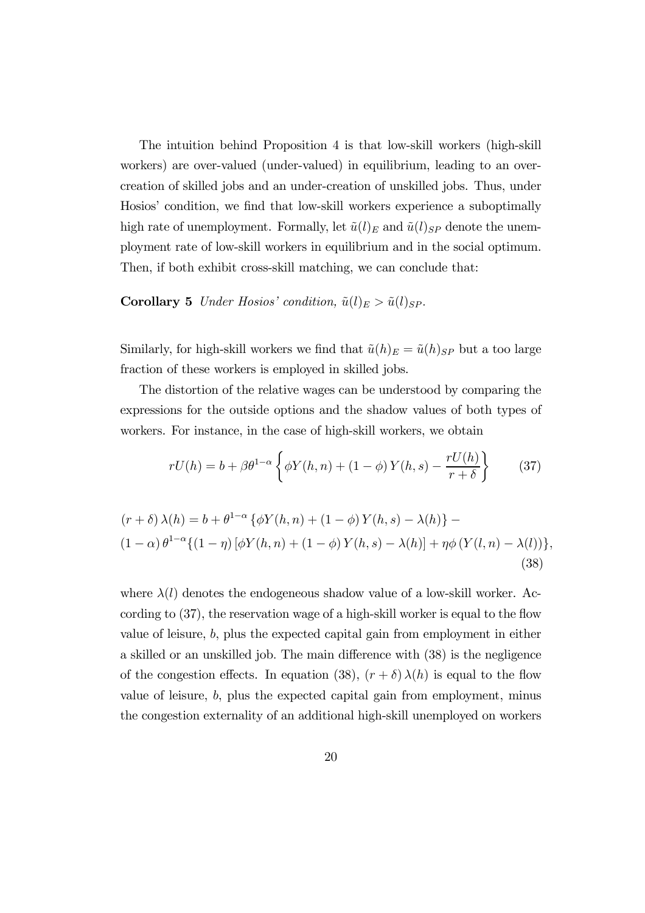The intuition behind Proposition 4 is that low-skill workers (high-skill workers) are over-valued (under-valued) in equilibrium, leading to an overcreation of skilled jobs and an under-creation of unskilled jobs. Thus, under Hosios' condition, we find that low-skill workers experience a suboptimally high rate of unemployment. Formally, let  $\tilde{u}(l)_E$  and  $\tilde{u}(l)_{SP}$  denote the unemployment rate of low-skill workers in equilibrium and in the social optimum. Then, if both exhibit cross-skill matching, we can conclude that:

**Corollary 5** Under Hosios' condition,  $\tilde{u}(l)_E > \tilde{u}(l)_{SP}$ .

Similarly, for high-skill workers we find that  $\tilde{u}(h)_{E} = \tilde{u}(h)_{SP}$  but a too large fraction of these workers is employed in skilled jobs.

The distortion of the relative wages can be understood by comparing the expressions for the outside options and the shadow values of both types of workers. For instance, in the case of high-skill workers, we obtain

$$
rU(h) = b + \beta \theta^{1-\alpha} \left\{ \phi Y(h, n) + (1 - \phi) Y(h, s) - \frac{rU(h)}{r + \delta} \right\}
$$
 (37)

$$
(r+\delta)\lambda(h) = b + \theta^{1-\alpha} \{ \phi Y(h,n) + (1-\phi) Y(h,s) - \lambda(h) \} - (1-\alpha) \theta^{1-\alpha} \{ (1-\eta) [\phi Y(h,n) + (1-\phi) Y(h,s) - \lambda(h)] + \eta \phi (Y(l,n) - \lambda(l)) \},
$$
\n(38)

where  $\lambda(l)$  denotes the endogeneous shadow value of a low-skill worker. According to (37), the reservation wage of a high-skill worker is equal to the flow value of leisure,  $b$ , plus the expected capital gain from employment in either a skilled or an unskilled job. The main difference with (38) is the negligence of the congestion effects. In equation (38),  $(r + \delta) \lambda(h)$  is equal to the flow value of leisure, b, plus the expected capital gain from employment, minus the congestion externality of an additional high-skill unemployed on workers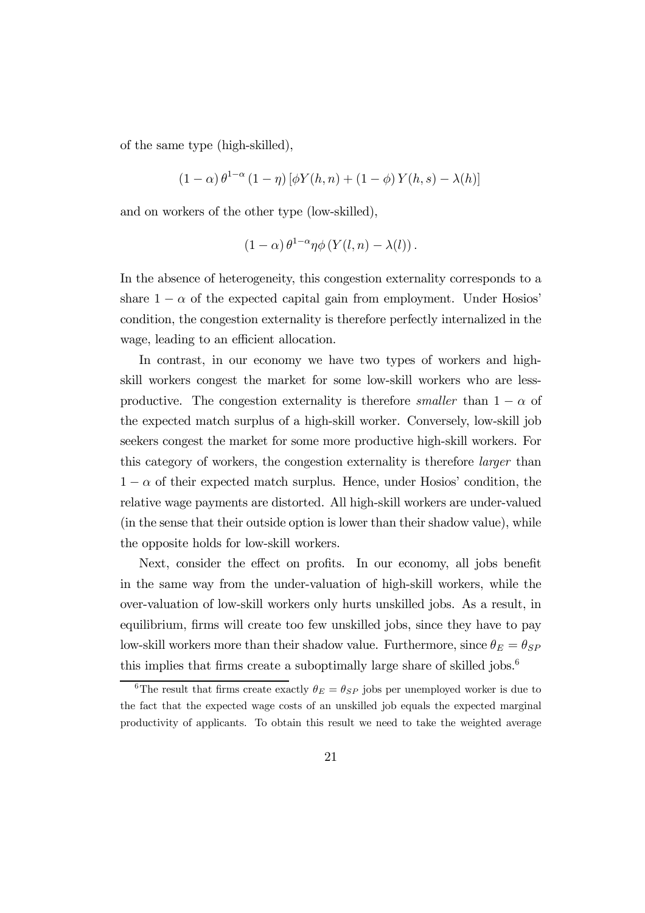of the same type (high-skilled),

$$
(1 - \alpha) \theta^{1 - \alpha} (1 - \eta) [\phi Y(h, n) + (1 - \phi) Y(h, s) - \lambda(h)]
$$

and on workers of the other type (low-skilled),

$$
(1 - \alpha) \theta^{1-\alpha} \eta \phi \left( Y(l, n) - \lambda(l) \right).
$$

In the absence of heterogeneity, this congestion externality corresponds to a share  $1 - \alpha$  of the expected capital gain from employment. Under Hosios' condition, the congestion externality is therefore perfectly internalized in the wage, leading to an efficient allocation.

In contrast, in our economy we have two types of workers and highskill workers congest the market for some low-skill workers who are lessproductive. The congestion externality is therefore *smaller* than  $1 - \alpha$  of the expected match surplus of a high-skill worker. Conversely, low-skill job seekers congest the market for some more productive high-skill workers. For this category of workers, the congestion externality is therefore larger than  $1 - \alpha$  of their expected match surplus. Hence, under Hosios' condition, the relative wage payments are distorted. All high-skill workers are under-valued (in the sense that their outside option is lower than their shadow value), while the opposite holds for low-skill workers.

Next, consider the effect on profits. In our economy, all jobs benefit in the same way from the under-valuation of high-skill workers, while the over-valuation of low-skill workers only hurts unskilled jobs. As a result, in equilibrium, firms will create too few unskilled jobs, since they have to pay low-skill workers more than their shadow value. Furthermore, since  $\theta_E = \theta_{SP}$ this implies that firms create a suboptimally large share of skilled jobs.<sup>6</sup>

<sup>&</sup>lt;sup>6</sup>The result that firms create exactly  $\theta_E = \theta_{SP}$  jobs per unemployed worker is due to the fact that the expected wage costs of an unskilled job equals the expected marginal productivity of applicants. To obtain this result we need to take the weighted average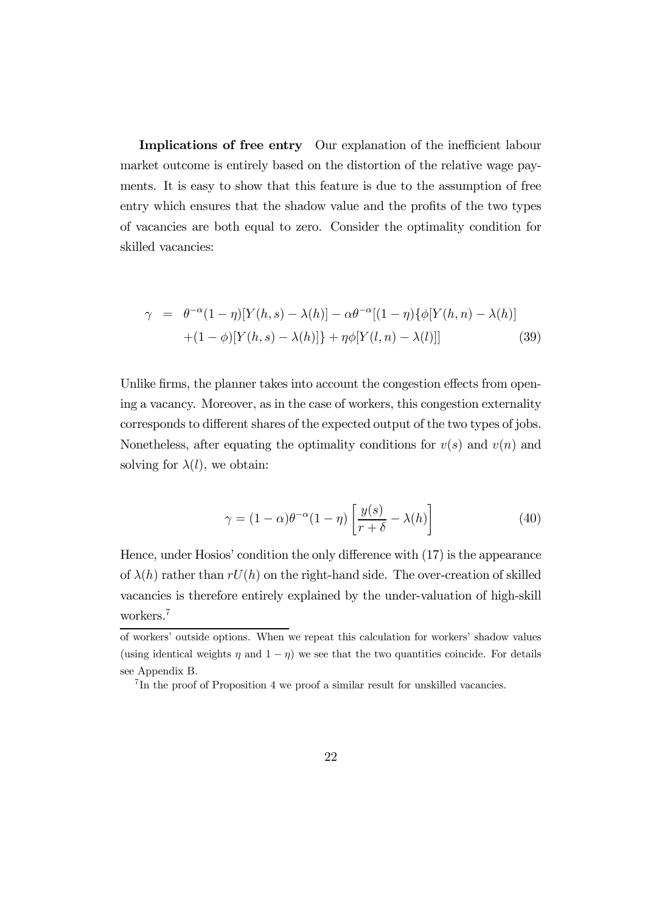Implications of free entry Our explanation of the inefficient labour market outcome is entirely based on the distortion of the relative wage payments. It is easy to show that this feature is due to the assumption of free entry which ensures that the shadow value and the profits of the two types of vacancies are both equal to zero. Consider the optimality condition for skilled vacancies:

$$
\gamma = \theta^{-\alpha}(1-\eta)[Y(h,s) - \lambda(h)] - \alpha \theta^{-\alpha}[(1-\eta)\{\phi[Y(h,n) - \lambda(h)] + (1-\phi)[Y(h,s) - \lambda(h)]\} + \eta \phi[Y(l,n) - \lambda(l)]] \tag{39}
$$

Unlike firms, the planner takes into account the congestion effects from opening a vacancy. Moreover, as in the case of workers, this congestion externality corresponds to different shares of the expected output of the two types of jobs. Nonetheless, after equating the optimality conditions for  $v(s)$  and  $v(n)$  and solving for  $\lambda(l)$ , we obtain:

$$
\gamma = (1 - \alpha)\theta^{-\alpha}(1 - \eta) \left[ \frac{y(s)}{r + \delta} - \lambda(h) \right]
$$
(40)

Hence, under Hosios' condition the only difference with (17) is the appearance of  $\lambda(h)$  rather than  $rU(h)$  on the right-hand side. The over-creation of skilled vacancies is therefore entirely explained by the under-valuation of high-skill workers.7

of workers' outside options. When we repeat this calculation for workers' shadow values (using identical weights  $\eta$  and  $1 - \eta$ ) we see that the two quantities coincide. For details see Appendix B.

<sup>&</sup>lt;sup>7</sup>In the proof of Proposition 4 we proof a similar result for unskilled vacancies.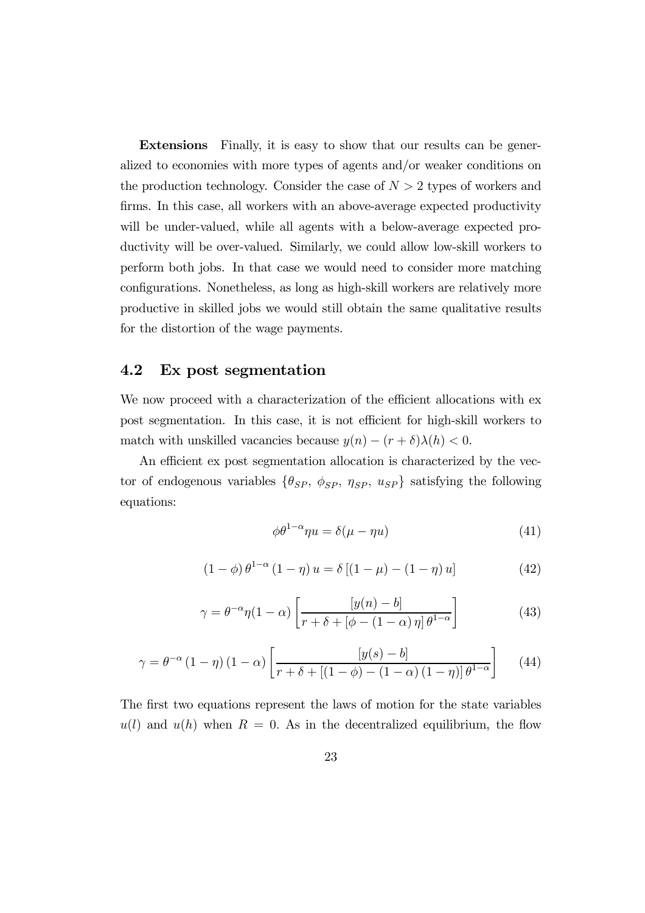Extensions Finally, it is easy to show that our results can be generalized to economies with more types of agents and/or weaker conditions on the production technology. Consider the case of  $N > 2$  types of workers and firms. In this case, all workers with an above-average expected productivity will be under-valued, while all agents with a below-average expected productivity will be over-valued. Similarly, we could allow low-skill workers to perform both jobs. In that case we would need to consider more matching configurations. Nonetheless, as long as high-skill workers are relatively more productive in skilled jobs we would still obtain the same qualitative results for the distortion of the wage payments.

#### 4.2 Ex post segmentation

We now proceed with a characterization of the efficient allocations with ex post segmentation. In this case, it is not efficient for high-skill workers to match with unskilled vacancies because  $y(n) - (r + \delta)\lambda(h) < 0$ .

An efficient ex post segmentation allocation is characterized by the vector of endogenous variables  $\{\theta_{SP}, \phi_{SP}, \eta_{SP}, u_{SP}\}$  satisfying the following equations:

$$
\phi \theta^{1-\alpha} \eta u = \delta(\mu - \eta u) \tag{41}
$$

$$
(1 - \phi) \theta^{1 - \alpha} (1 - \eta) u = \delta [(1 - \mu) - (1 - \eta) u]
$$
 (42)

$$
\gamma = \theta^{-\alpha} \eta (1 - \alpha) \left[ \frac{[y(n) - b]}{r + \delta + [\phi - (1 - \alpha) \eta] \theta^{1 - \alpha}} \right]
$$
(43)

$$
\gamma = \theta^{-\alpha} (1 - \eta) (1 - \alpha) \left[ \frac{[y(s) - b]}{r + \delta + [(1 - \phi) - (1 - \alpha) (1 - \eta)] \theta^{1 - \alpha}} \right]
$$
(44)

The first two equations represent the laws of motion for the state variables  $u(l)$  and  $u(h)$  when  $R = 0$ . As in the decentralized equilibrium, the flow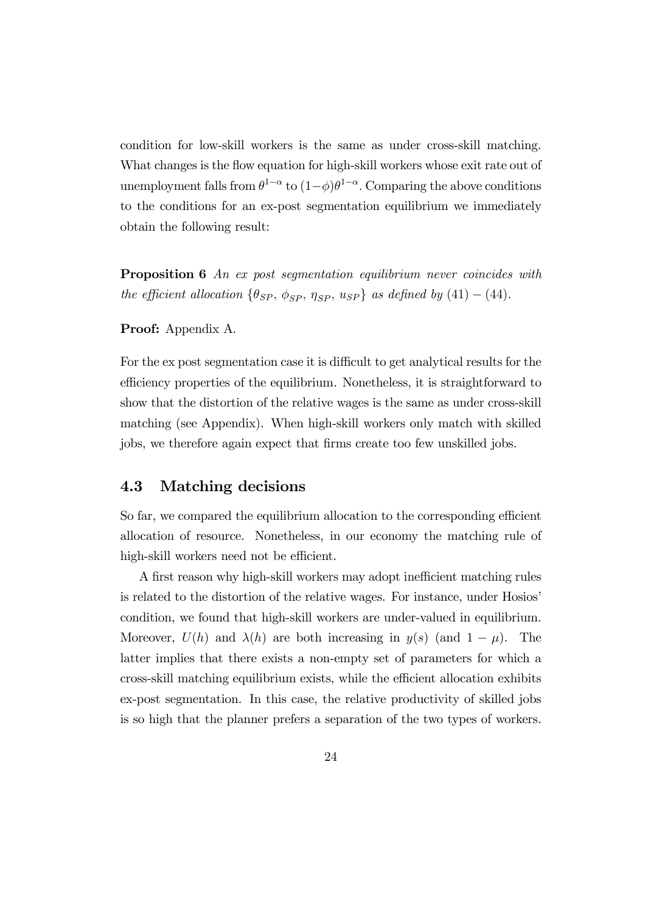condition for low-skill workers is the same as under cross-skill matching. What changes is the flow equation for high-skill workers whose exit rate out of unemployment falls from  $\theta^{1-\alpha}$  to  $(1-\phi)\theta^{1-\alpha}$ . Comparing the above conditions to the conditions for an ex-post segmentation equilibrium we immediately obtain the following result:

**Proposition 6** An ex post segmentation equilibrium never coincides with the efficient allocation  $\{\theta_{SP}, \phi_{SP}, \eta_{SP}, u_{SP}\}$  as defined by  $(41) - (44)$ .

#### Proof: Appendix A.

For the ex post segmentation case it is difficult to get analytical results for the efficiency properties of the equilibrium. Nonetheless, it is straightforward to show that the distortion of the relative wages is the same as under cross-skill matching (see Appendix). When high-skill workers only match with skilled jobs, we therefore again expect that firms create too few unskilled jobs.

#### 4.3 Matching decisions

So far, we compared the equilibrium allocation to the corresponding efficient allocation of resource. Nonetheless, in our economy the matching rule of high-skill workers need not be efficient.

A first reason why high-skill workers may adopt inefficient matching rules is related to the distortion of the relative wages. For instance, under Hosios' condition, we found that high-skill workers are under-valued in equilibrium. Moreover,  $U(h)$  and  $\lambda(h)$  are both increasing in  $y(s)$  (and  $1 - \mu$ ). The latter implies that there exists a non-empty set of parameters for which a cross-skill matching equilibrium exists, while the efficient allocation exhibits ex-post segmentation. In this case, the relative productivity of skilled jobs is so high that the planner prefers a separation of the two types of workers.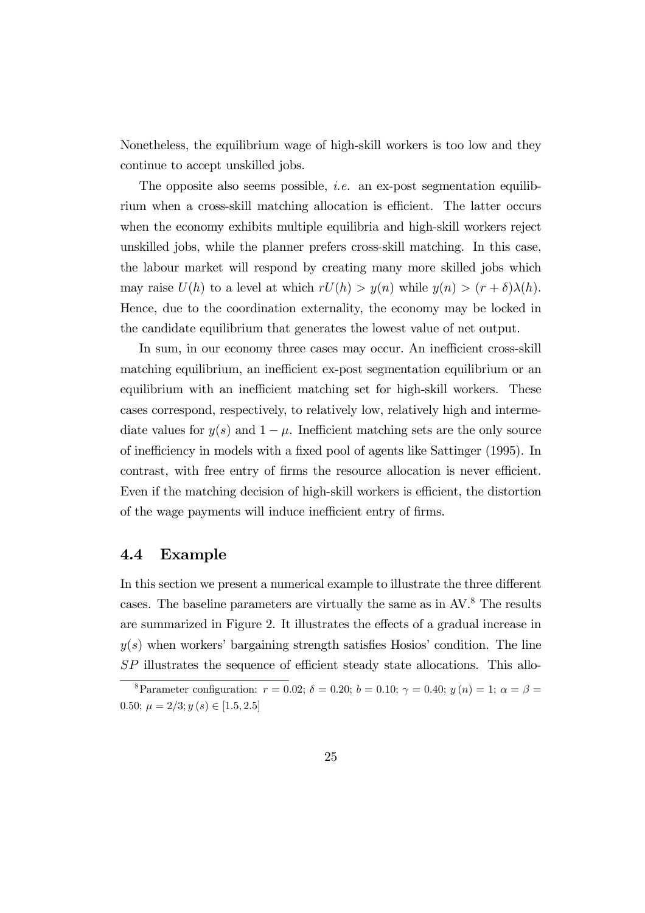Nonetheless, the equilibrium wage of high-skill workers is too low and they continue to accept unskilled jobs.

The opposite also seems possible, *i.e.* an ex-post segmentation equilibrium when a cross-skill matching allocation is efficient. The latter occurs when the economy exhibits multiple equilibria and high-skill workers reject unskilled jobs, while the planner prefers cross-skill matching. In this case, the labour market will respond by creating many more skilled jobs which may raise  $U(h)$  to a level at which  $rU(h) > y(n)$  while  $y(n) > (r + \delta)\lambda(h)$ . Hence, due to the coordination externality, the economy may be locked in the candidate equilibrium that generates the lowest value of net output.

In sum, in our economy three cases may occur. An inefficient cross-skill matching equilibrium, an inefficient ex-post segmentation equilibrium or an equilibrium with an inefficient matching set for high-skill workers. These cases correspond, respectively, to relatively low, relatively high and intermediate values for  $y(s)$  and  $1 - \mu$ . Inefficient matching sets are the only source of inefficiency in models with a fixed pool of agents like Sattinger (1995). In contrast, with free entry of firms the resource allocation is never efficient. Even if the matching decision of high-skill workers is efficient, the distortion of the wage payments will induce inefficient entry of firms.

#### 4.4 Example

In this section we present a numerical example to illustrate the three different cases. The baseline parameters are virtually the same as in AV.8 The results are summarized in Figure 2. It illustrates the effects of a gradual increase in  $y(s)$  when workers' bargaining strength satisfies Hosios' condition. The line SP illustrates the sequence of efficient steady state allocations. This allo-

<sup>&</sup>lt;sup>8</sup>Parameter configuration:  $r = 0.02$ ;  $\delta = 0.20$ ;  $b = 0.10$ ;  $\gamma = 0.40$ ;  $y(n) = 1$ ;  $\alpha = \beta =$ 0.50;  $\mu = 2/3$ ;  $y(s) \in [1.5, 2.5]$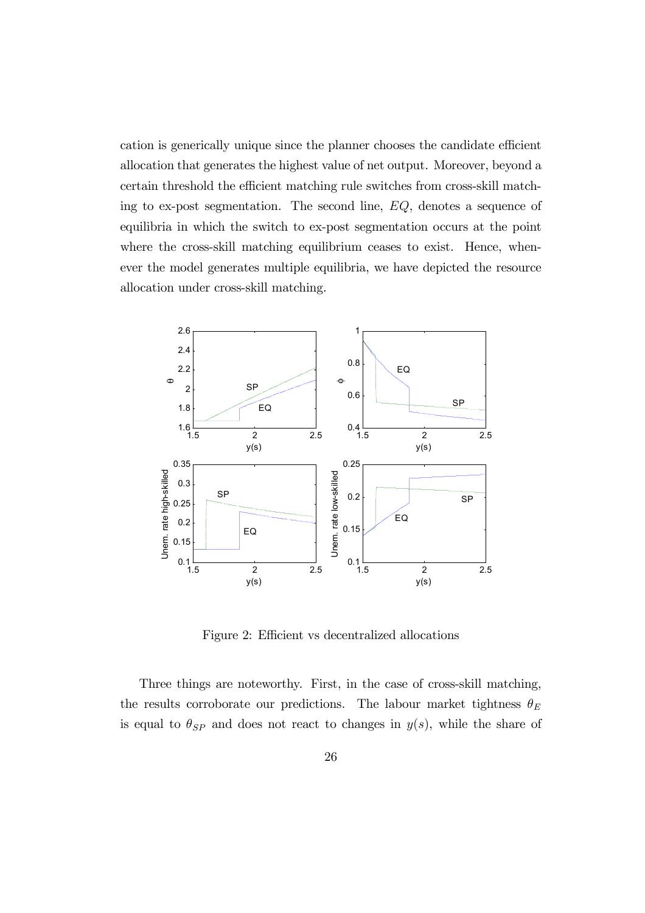cation is generically unique since the planner chooses the candidate efficient allocation that generates the highest value of net output. Moreover, beyond a certain threshold the efficient matching rule switches from cross-skill matching to ex-post segmentation. The second line, EQ, denotes a sequence of equilibria in which the switch to ex-post segmentation occurs at the point where the cross-skill matching equilibrium ceases to exist. Hence, whenever the model generates multiple equilibria, we have depicted the resource allocation under cross-skill matching.



Figure 2: Efficient vs decentralized allocations

Three things are noteworthy. First, in the case of cross-skill matching, the results corroborate our predictions. The labour market tightness  $\theta_E$ is equal to  $\theta_{SP}$  and does not react to changes in  $y(s)$ , while the share of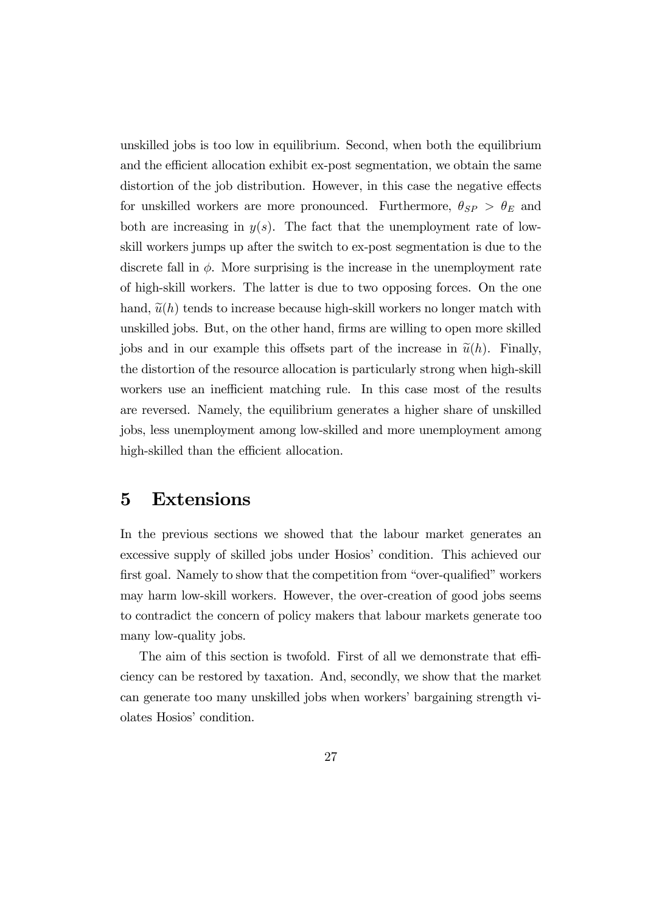unskilled jobs is too low in equilibrium. Second, when both the equilibrium and the efficient allocation exhibit ex-post segmentation, we obtain the same distortion of the job distribution. However, in this case the negative effects for unskilled workers are more pronounced. Furthermore,  $\theta_{SP} > \theta_E$  and both are increasing in  $y(s)$ . The fact that the unemployment rate of lowskill workers jumps up after the switch to ex-post segmentation is due to the discrete fall in  $\phi$ . More surprising is the increase in the unemployment rate of high-skill workers. The latter is due to two opposing forces. On the one hand,  $\tilde{u}(h)$  tends to increase because high-skill workers no longer match with unskilled jobs. But, on the other hand, firms are willing to open more skilled jobs and in our example this offsets part of the increase in  $\tilde{u}(h)$ . Finally, the distortion of the resource allocation is particularly strong when high-skill workers use an inefficient matching rule. In this case most of the results are reversed. Namely, the equilibrium generates a higher share of unskilled jobs, less unemployment among low-skilled and more unemployment among high-skilled than the efficient allocation.

### 5 Extensions

In the previous sections we showed that the labour market generates an excessive supply of skilled jobs under Hosios' condition. This achieved our first goal. Namely to show that the competition from "over-qualified" workers may harm low-skill workers. However, the over-creation of good jobs seems to contradict the concern of policy makers that labour markets generate too many low-quality jobs.

The aim of this section is twofold. First of all we demonstrate that efficiency can be restored by taxation. And, secondly, we show that the market can generate too many unskilled jobs when workers' bargaining strength violates Hosios' condition.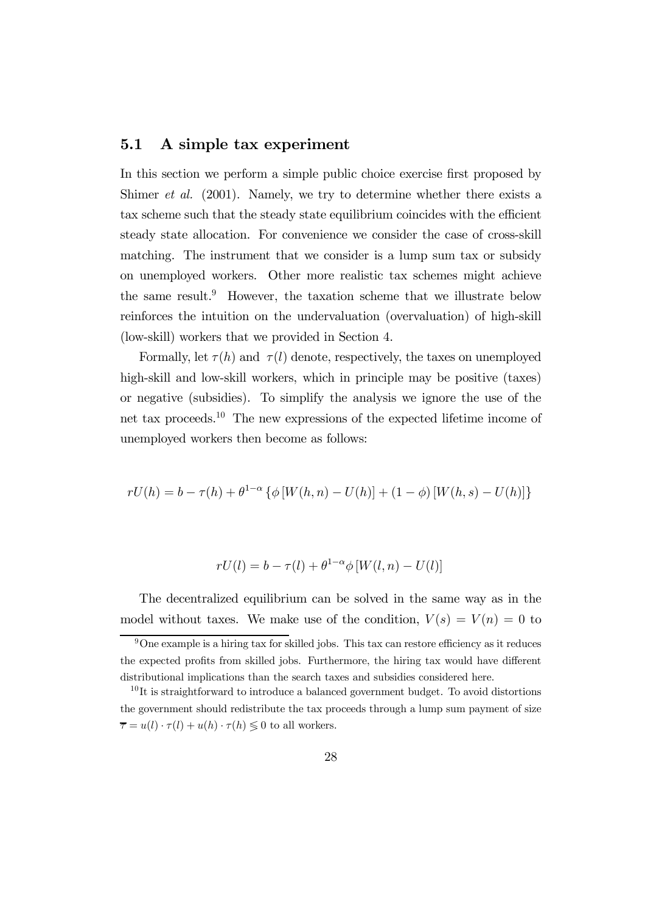#### 5.1 A simple tax experiment

In this section we perform a simple public choice exercise first proposed by Shimer et al. (2001). Namely, we try to determine whether there exists a tax scheme such that the steady state equilibrium coincides with the efficient steady state allocation. For convenience we consider the case of cross-skill matching. The instrument that we consider is a lump sum tax or subsidy on unemployed workers. Other more realistic tax schemes might achieve the same result.<sup>9</sup> However, the taxation scheme that we illustrate below reinforces the intuition on the undervaluation (overvaluation) of high-skill (low-skill) workers that we provided in Section 4.

Formally, let  $\tau(h)$  and  $\tau(l)$  denote, respectively, the taxes on unemployed high-skill and low-skill workers, which in principle may be positive (taxes) or negative (subsidies). To simplify the analysis we ignore the use of the net tax proceeds.<sup>1</sup><sup>0</sup> The new expressions of the expected lifetime income of unemployed workers then become as follows:

$$
rU(h) = b - \tau(h) + \theta^{1-\alpha} \left\{ \phi \left[ W(h, n) - U(h) \right] + (1 - \phi) \left[ W(h, s) - U(h) \right] \right\}
$$

$$
rU(l) = b - \tau(l) + \theta^{1-\alpha} \phi \left[ W(l, n) - U(l) \right]
$$

The decentralized equilibrium can be solved in the same way as in the model without taxes. We make use of the condition,  $V(s) = V(n) = 0$  to

 $9^9$ One example is a hiring tax for skilled jobs. This tax can restore efficiency as it reduces the expected profits from skilled jobs. Furthermore, the hiring tax would have different distributional implications than the search taxes and subsidies considered here.

 $10$ It is straightforward to introduce a balanced government budget. To avoid distortions the government should redistribute the tax proceeds through a lump sum payment of size  $\overline{\tau} = u(l) \cdot \tau(l) + u(h) \cdot \tau(h) \leq 0$  to all workers.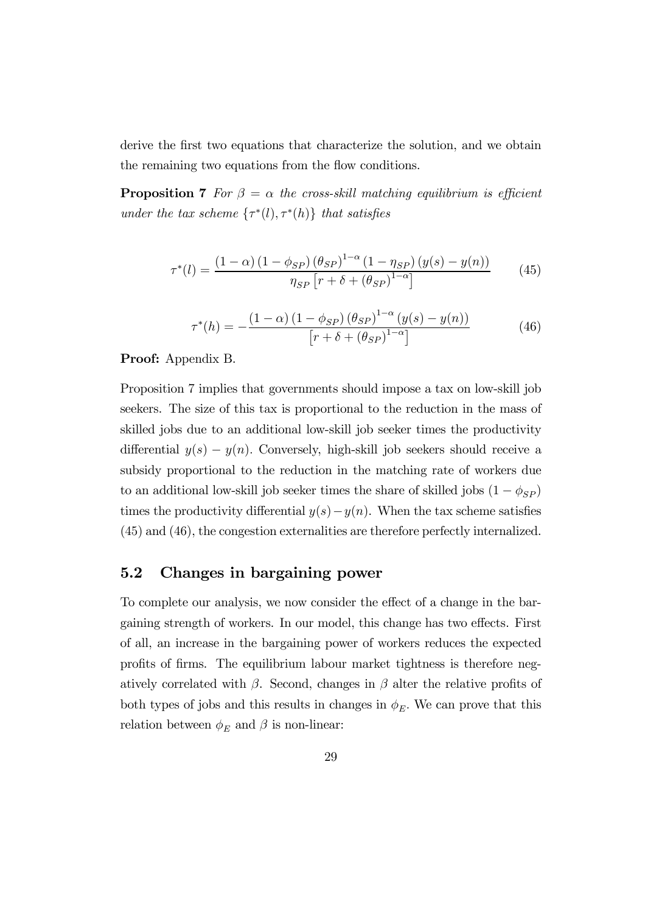derive the first two equations that characterize the solution, and we obtain the remaining two equations from the flow conditions.

**Proposition 7** For  $\beta = \alpha$  the cross-skill matching equilibrium is efficient under the tax scheme  $\{\tau^*(l), \tau^*(h)\}\)$  that satisfies

$$
\tau^*(l) = \frac{\left(1-\alpha\right)\left(1-\phi_{SP}\right)\left(\theta_{SP}\right)^{1-\alpha}\left(1-\eta_{SP}\right)\left(y(s)-y(n)\right)}{\eta_{SP}\left[r+\delta+\left(\theta_{SP}\right)^{1-\alpha}\right]}
$$
(45)

$$
\tau^*(h) = -\frac{(1-\alpha)(1-\phi_{SP})(\theta_{SP})^{1-\alpha}(y(s)-y(n))}{[r+\delta+(\theta_{SP})^{1-\alpha}]}
$$
(46)

#### Proof: Appendix B.

Proposition 7 implies that governments should impose a tax on low-skill job seekers. The size of this tax is proportional to the reduction in the mass of skilled jobs due to an additional low-skill job seeker times the productivity differential  $y(s) - y(n)$ . Conversely, high-skill job seekers should receive a subsidy proportional to the reduction in the matching rate of workers due to an additional low-skill job seeker times the share of skilled jobs  $(1 - \phi_{SP})$ times the productivity differential  $y(s)-y(n)$ . When the tax scheme satisfies (45) and (46), the congestion externalities are therefore perfectly internalized.

#### 5.2 Changes in bargaining power

To complete our analysis, we now consider the effect of a change in the bargaining strength of workers. In our model, this change has two effects. First of all, an increase in the bargaining power of workers reduces the expected profits of firms. The equilibrium labour market tightness is therefore negatively correlated with  $\beta$ . Second, changes in  $\beta$  alter the relative profits of both types of jobs and this results in changes in  $\phi_E$ . We can prove that this relation between  $\phi_E$  and  $\beta$  is non-linear: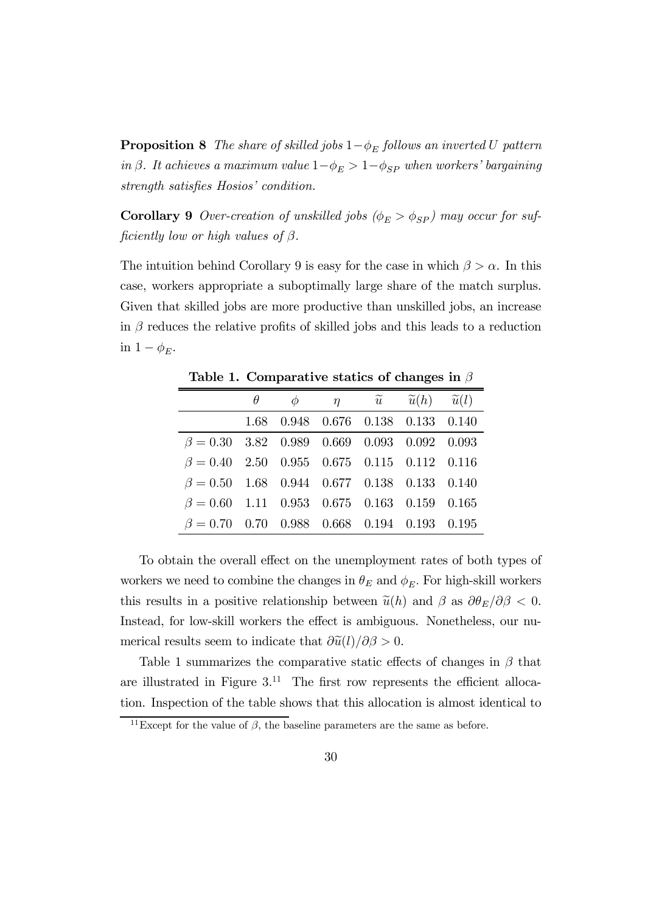**Proposition 8** The share of skilled jobs  $1-\phi_E$  follows an inverted U pattern in β. It achieves a maximum value  $1-\phi_E > 1-\phi_{SP}$  when workers' bargaining strength satisfies Hosios' condition.

**Corollary 9** Over-creation of unskilled jobs  $(\phi_E > \phi_{SP})$  may occur for sufficiently low or high values of  $\beta$ .

The intuition behind Corollary 9 is easy for the case in which  $\beta > \alpha$ . In this case, workers appropriate a suboptimally large share of the match surplus. Given that skilled jobs are more productive than unskilled jobs, an increase in  $\beta$  reduces the relative profits of skilled jobs and this leads to a reduction in  $1 - \phi_E$ .

|                                                   | $\theta$ | $\phi$ | $\eta$ $\widetilde{u}$ $\widetilde{u}(h)$ $\widetilde{u}(l)$ |  |
|---------------------------------------------------|----------|--------|--------------------------------------------------------------|--|
|                                                   |          |        | 1.68 0.948 0.676 0.138 0.133 0.140                           |  |
| $\beta = 0.30$ 3.82 0.989 0.669 0.093 0.092 0.093 |          |        |                                                              |  |
| $\beta = 0.40$ 2.50 0.955 0.675 0.115 0.112 0.116 |          |        |                                                              |  |
| $\beta = 0.50$ 1.68 0.944 0.677 0.138 0.133 0.140 |          |        |                                                              |  |
| $\beta = 0.60$ 1.11 0.953 0.675 0.163 0.159 0.165 |          |        |                                                              |  |
| $\beta = 0.70$ 0.70 0.988 0.668 0.194 0.193 0.195 |          |        |                                                              |  |

Table 1. Comparative statics of changes in  $\beta$ 

To obtain the overall effect on the unemployment rates of both types of workers we need to combine the changes in  $\theta_E$  and  $\phi_E$ . For high-skill workers this results in a positive relationship between  $\tilde{u}(h)$  and  $\beta$  as  $\partial \theta_E/\partial \beta < 0$ . Instead, for low-skill workers the effect is ambiguous. Nonetheless, our numerical results seem to indicate that  $\frac{\partial \widetilde{u}(l)}{\partial \beta} > 0$ .

Table 1 summarizes the comparative static effects of changes in  $\beta$  that are illustrated in Figure  $3^{11}$ . The first row represents the efficient allocation. Inspection of the table shows that this allocation is almost identical to

<sup>&</sup>lt;sup>11</sup>Except for the value of  $\beta$ , the baseline parameters are the same as before.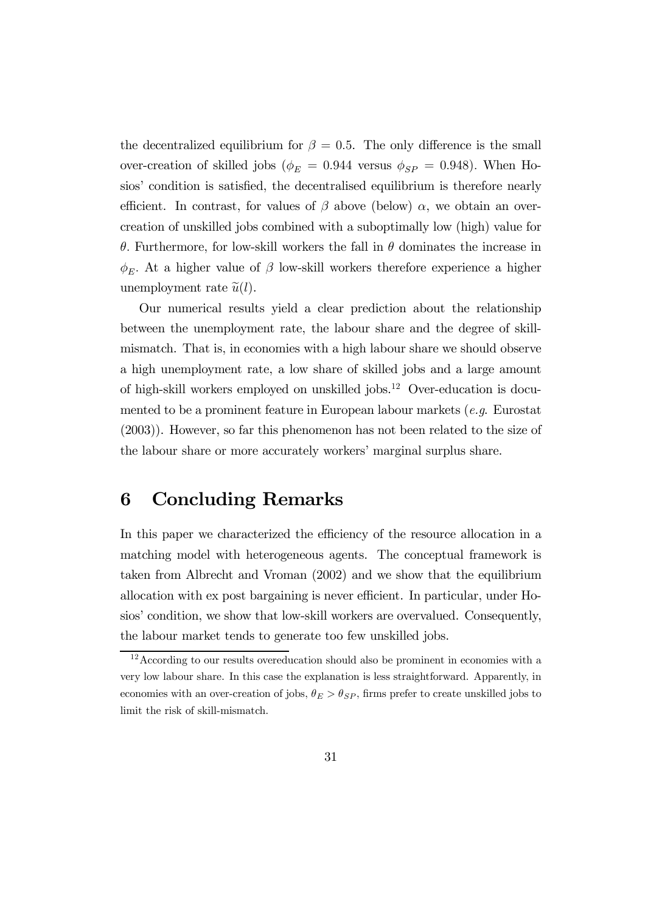the decentralized equilibrium for  $\beta = 0.5$ . The only difference is the small over-creation of skilled jobs ( $\phi_E = 0.944$  versus  $\phi_{SP} = 0.948$ ). When Hosios' condition is satisfied, the decentralised equilibrium is therefore nearly efficient. In contrast, for values of  $\beta$  above (below)  $\alpha$ , we obtain an overcreation of unskilled jobs combined with a suboptimally low (high) value for θ. Furthermore, for low-skill workers the fall in θ dominates the increase in  $\phi_E$ . At a higher value of  $\beta$  low-skill workers therefore experience a higher unemployment rate  $\tilde{u}(l)$ .

Our numerical results yield a clear prediction about the relationship between the unemployment rate, the labour share and the degree of skillmismatch. That is, in economies with a high labour share we should observe a high unemployment rate, a low share of skilled jobs and a large amount of high-skill workers employed on unskilled jobs.<sup>1</sup><sup>2</sup> Over-education is documented to be a prominent feature in European labour markets  $(e, a)$ . Eurostat (2003)). However, so far this phenomenon has not been related to the size of the labour share or more accurately workers' marginal surplus share.

### 6 Concluding Remarks

In this paper we characterized the efficiency of the resource allocation in a matching model with heterogeneous agents. The conceptual framework is taken from Albrecht and Vroman (2002) and we show that the equilibrium allocation with ex post bargaining is never efficient. In particular, under Hosios' condition, we show that low-skill workers are overvalued. Consequently, the labour market tends to generate too few unskilled jobs.

<sup>&</sup>lt;sup>12</sup>According to our results overeducation should also be prominent in economies with a very low labour share. In this case the explanation is less straightforward. Apparently, in economies with an over-creation of jobs,  $\theta_E > \theta_{SP}$ , firms prefer to create unskilled jobs to limit the risk of skill-mismatch.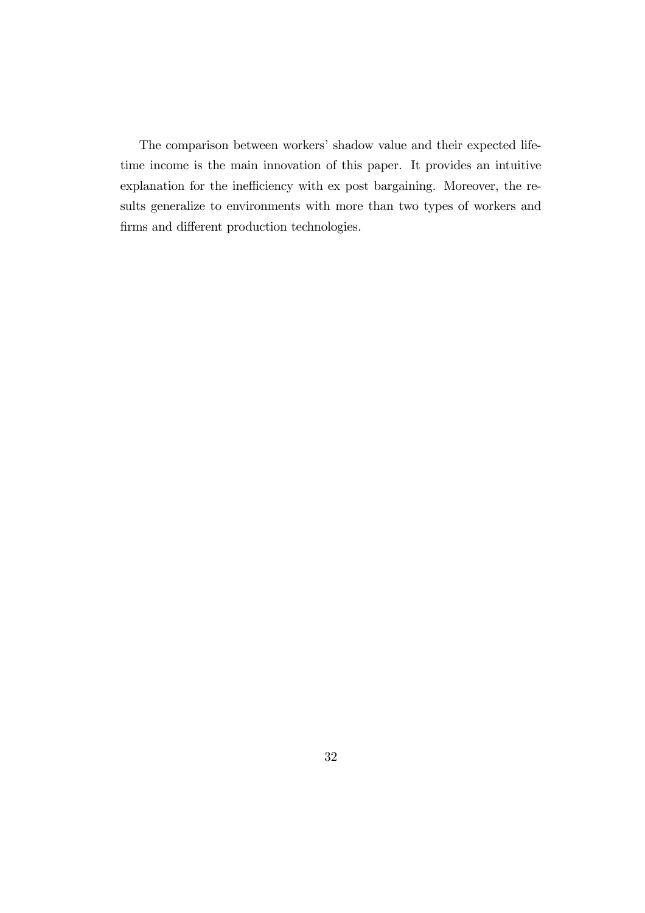The comparison between workers' shadow value and their expected lifetime income is the main innovation of this paper. It provides an intuitive explanation for the inefficiency with ex post bargaining. Moreover, the results generalize to environments with more than two types of workers and firms and different production technologies.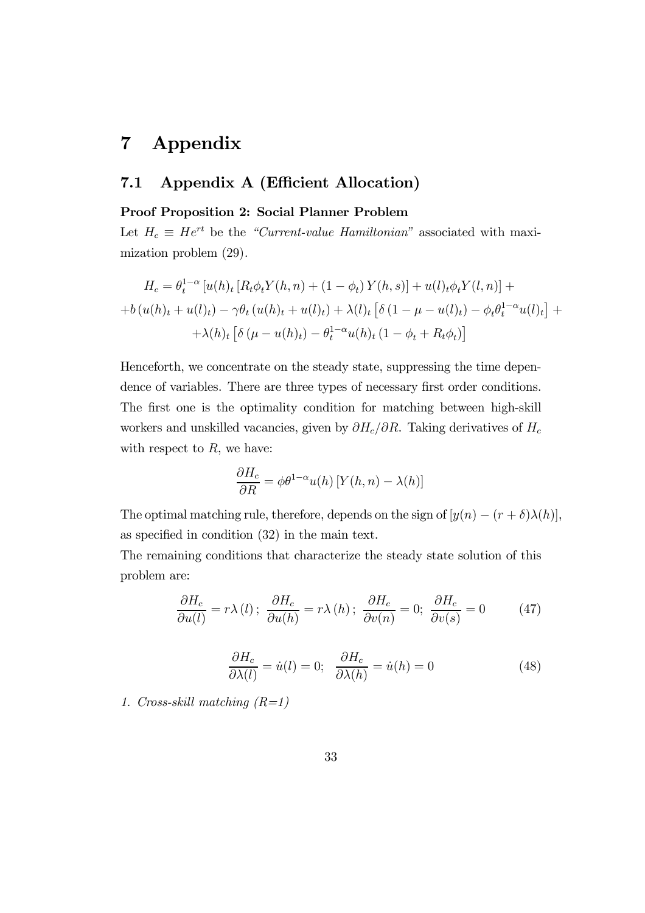### 7 Appendix

### 7.1 Appendix A (Efficient Allocation)

### Proof Proposition 2: Social Planner Problem

Let  $H_c \equiv He^{rt}$  be the "Current-value Hamiltonian" associated with maximization problem (29).

$$
H_c = \theta_t^{1-\alpha} \left[ u(h)_t \left[ R_t \phi_t Y(h, n) + (1 - \phi_t) Y(h, s) \right] + u(l)_t \phi_t Y(l, n) \right] +
$$
  
+ 
$$
+ b (u(h)_t + u(l)_t) - \gamma \theta_t (u(h)_t + u(l)_t) + \lambda(l)_t \left[ \delta (1 - \mu - u(l)_t) - \phi_t \theta_t^{1-\alpha} u(l)_t \right] +
$$
  
+ 
$$
\lambda(h)_t \left[ \delta (\mu - u(h)_t) - \theta_t^{1-\alpha} u(h)_t (1 - \phi_t + R_t \phi_t) \right]
$$

Henceforth, we concentrate on the steady state, suppressing the time dependence of variables. There are three types of necessary first order conditions. The first one is the optimality condition for matching between high-skill workers and unskilled vacancies, given by  $\partial H_c/\partial R$ . Taking derivatives of  $H_c$ with respect to  $R$ , we have:

$$
\frac{\partial H_c}{\partial R} = \phi \theta^{1-\alpha} u(h) \left[ Y(h, n) - \lambda(h) \right]
$$

The optimal matching rule, therefore, depends on the sign of  $[y(n) - (r + \delta)\lambda(h)],$ as specified in condition (32) in the main text.

The remaining conditions that characterize the steady state solution of this problem are:

$$
\frac{\partial H_c}{\partial u(l)} = r\lambda(l); \frac{\partial H_c}{\partial u(h)} = r\lambda(h); \frac{\partial H_c}{\partial v(n)} = 0; \frac{\partial H_c}{\partial v(s)} = 0
$$
 (47)

$$
\frac{\partial H_c}{\partial \lambda(l)} = \dot{u}(l) = 0; \quad \frac{\partial H_c}{\partial \lambda(h)} = \dot{u}(h) = 0 \tag{48}
$$

1. Cross-skill matching  $(R=1)$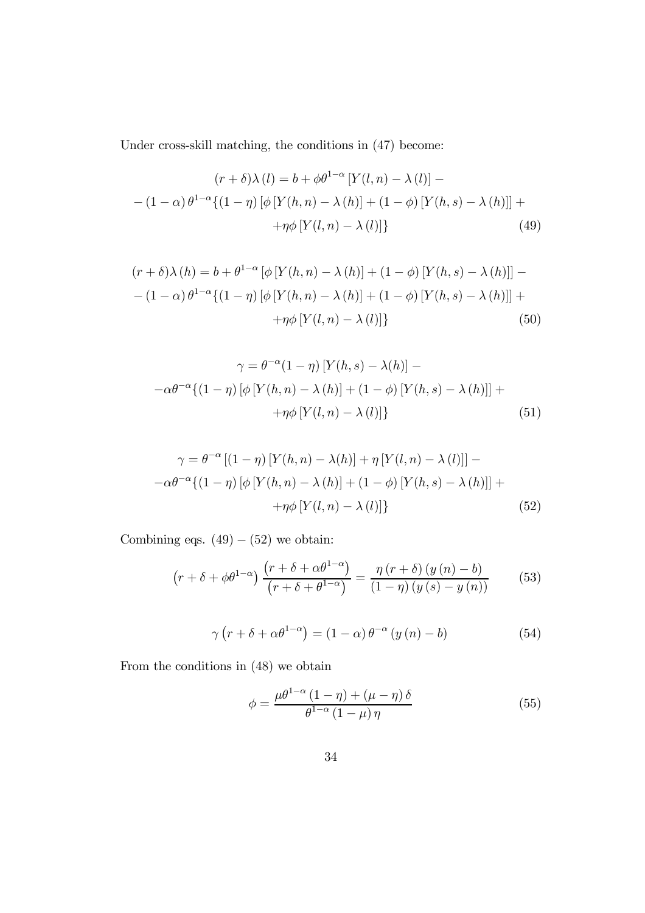Under cross-skill matching, the conditions in (47) become:

$$
(r+\delta)\lambda(l) = b + \phi\theta^{1-\alpha}[Y(l,n) - \lambda(l)] -
$$

$$
- (1-\alpha)\theta^{1-\alpha}\{(1-\eta)[\phi[Y(h,n) - \lambda(h)] + (1-\phi)[Y(h,s) - \lambda(h)]] +
$$

$$
+ \eta\phi[Y(l,n) - \lambda(l)]\}
$$
(49)

$$
(r+\delta)\lambda(h) = b + \theta^{1-\alpha} \left[ \phi \left[ Y(h,n) - \lambda(h) \right] + (1-\phi) \left[ Y(h,s) - \lambda(h) \right] \right] - (1-\alpha)\theta^{1-\alpha} \{ (1-\eta) \left[ \phi \left[ Y(h,n) - \lambda(h) \right] + (1-\phi) \left[ Y(h,s) - \lambda(h) \right] \right] + \eta \phi \left[ Y(l,n) - \lambda(l) \right] \}
$$
\n
$$
(50)
$$

$$
\gamma = \theta^{-\alpha} (1 - \eta) \left[ Y(h, s) - \lambda(h) \right] -
$$

$$
-\alpha \theta^{-\alpha} \{ (1 - \eta) \left[ \phi \left[ Y(h, n) - \lambda(h) \right] + (1 - \phi) \left[ Y(h, s) - \lambda(h) \right] \right] +
$$

$$
+ \eta \phi \left[ Y(l, n) - \lambda(l) \right] \}
$$
(51)

$$
\gamma = \theta^{-\alpha} \left[ (1 - \eta) \left[ Y(h, n) - \lambda(h) \right] + \eta \left[ Y(l, n) - \lambda(l) \right] \right] - \alpha \theta^{-\alpha} \left\{ (1 - \eta) \left[ \phi \left[ Y(h, n) - \lambda(h) \right] + (1 - \phi) \left[ Y(h, s) - \lambda(h) \right] \right] + \eta \phi \left[ Y(l, n) - \lambda(l) \right] \right\}
$$
\n
$$
(52)
$$

Combining eqs.  $(49) - (52)$  we obtain:

$$
\left(r+\delta+\phi\theta^{1-\alpha}\right)\frac{\left(r+\delta+\alpha\theta^{1-\alpha}\right)}{\left(r+\delta+\theta^{1-\alpha}\right)} = \frac{\eta\left(r+\delta\right)\left(y\left(n\right)-b\right)}{\left(1-\eta\right)\left(y\left(s\right)-y\left(n\right)\right)}\tag{53}
$$

$$
\gamma \left( r + \delta + \alpha \theta^{1-\alpha} \right) = (1 - \alpha) \theta^{-\alpha} \left( y \left( n \right) - b \right) \tag{54}
$$

From the conditions in (48) we obtain

$$
\phi = \frac{\mu \theta^{1-\alpha} \left(1 - \eta\right) + \left(\mu - \eta\right) \delta}{\theta^{1-\alpha} \left(1 - \mu\right) \eta} \tag{55}
$$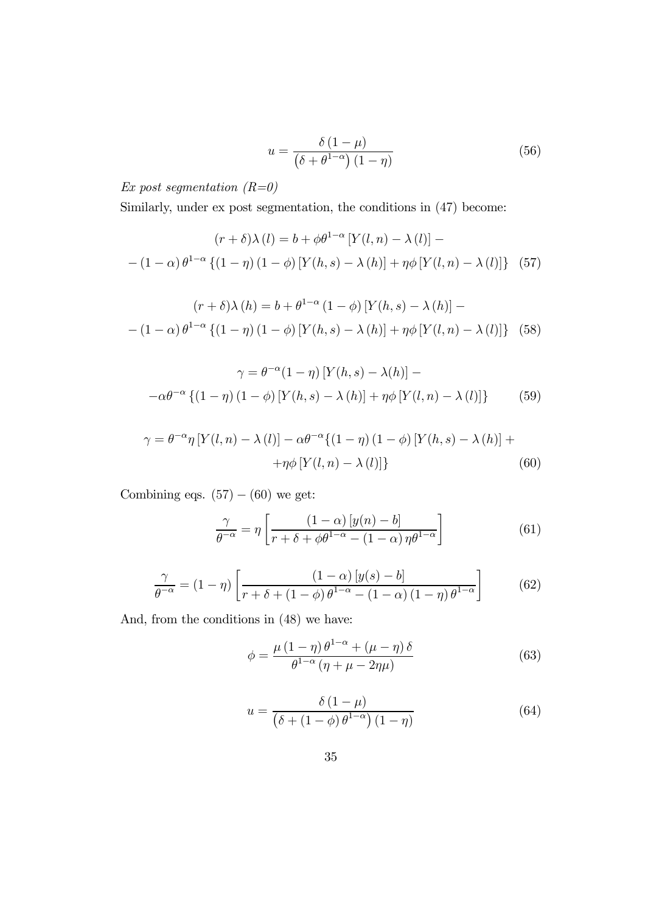$$
u = \frac{\delta(1-\mu)}{\left(\delta + \theta^{1-\alpha}\right)(1-\eta)}\tag{56}
$$

Ex post segmentation  $(R=0)$ 

Similarly, under ex post segmentation, the conditions in (47) become:

$$
(r+\delta)\lambda(l) = b + \phi\theta^{1-\alpha} \left[ Y(l,n) - \lambda(l) \right] - (1-\alpha)\theta^{1-\alpha} \left\{ (1-\eta)(1-\phi) \left[ Y(h,s) - \lambda(h) \right] + \eta\phi \left[ Y(l,n) - \lambda(l) \right] \right\} (57)
$$

$$
(r+\delta)\lambda(h) = b + \theta^{1-\alpha} (1-\phi) [Y(h,s) - \lambda(h)] -
$$

$$
- (1-\alpha)\theta^{1-\alpha} \{(1-\eta)(1-\phi) [Y(h,s) - \lambda(h)] + \eta\phi [Y(l,n) - \lambda(l)]\} (58)
$$

$$
\gamma = \theta^{-\alpha} (1 - \eta) \left[ Y(h, s) - \lambda(h) \right] -
$$

$$
-\alpha \theta^{-\alpha} \left\{ (1 - \eta) (1 - \phi) \left[ Y(h, s) - \lambda(h) \right] + \eta \phi \left[ Y(l, n) - \lambda(l) \right] \right\} \tag{59}
$$

$$
\gamma = \theta^{-\alpha} \eta \left[ Y(l, n) - \lambda(l) \right] - \alpha \theta^{-\alpha} \{ (1 - \eta) (1 - \phi) \left[ Y(h, s) - \lambda(h) \right] + \eta \phi \left[ Y(l, n) - \lambda(l) \right] \} \tag{60}
$$

Combining eqs.  $(57) - (60)$  we get:

$$
\frac{\gamma}{\theta^{-\alpha}} = \eta \left[ \frac{(1-\alpha) \left[ y(n) - b \right]}{r + \delta + \phi \theta^{1-\alpha} - (1-\alpha) \eta \theta^{1-\alpha}} \right] \tag{61}
$$

$$
\frac{\gamma}{\theta^{-\alpha}} = (1 - \eta) \left[ \frac{(1 - \alpha) [y(s) - b]}{r + \delta + (1 - \phi) \theta^{1 - \alpha} - (1 - \alpha) (1 - \eta) \theta^{1 - \alpha}} \right]
$$
(62)

And, from the conditions in (48) we have:

$$
\phi = \frac{\mu (1 - \eta) \theta^{1 - \alpha} + (\mu - \eta) \delta}{\theta^{1 - \alpha} (\eta + \mu - 2\eta \mu)}
$$
(63)

$$
u = \frac{\delta(1-\mu)}{\left(\delta + (1-\phi)\,\theta^{1-\alpha}\right)(1-\eta)}\tag{64}
$$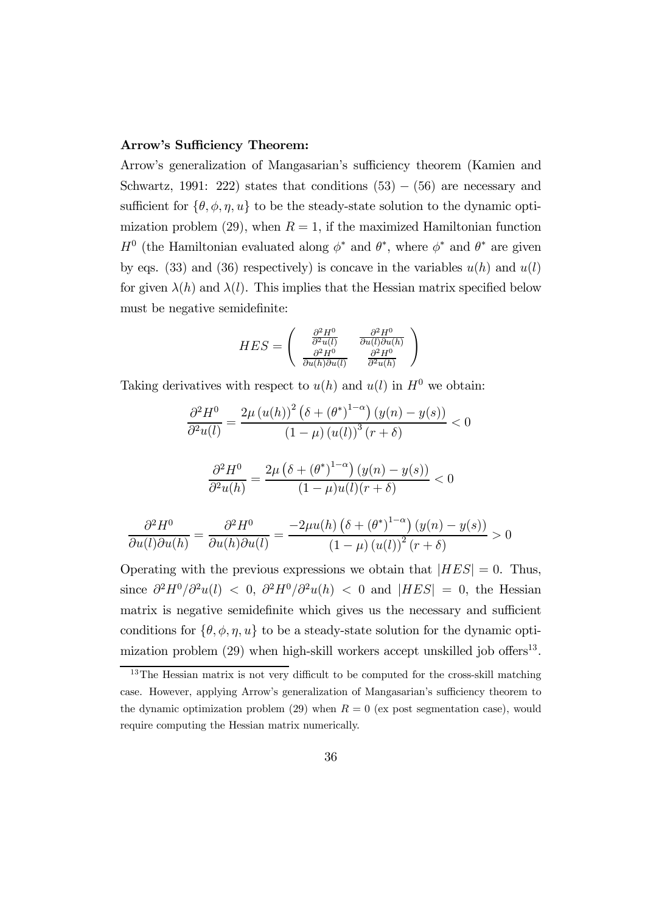#### Arrow's Sufficiency Theorem:

Arrow's generalization of Mangasarian's sufficiency theorem (Kamien and Schwartz, 1991: 222) states that conditions  $(53) - (56)$  are necessary and sufficient for  $\{\theta, \phi, \eta, u\}$  to be the steady-state solution to the dynamic optimization problem (29), when  $R = 1$ , if the maximized Hamiltonian function  $H^0$  (the Hamiltonian evaluated along  $\phi^*$  and  $\theta^*$ , where  $\phi^*$  and  $\theta^*$  are given by eqs. (33) and (36) respectively) is concave in the variables  $u(h)$  and  $u(l)$ for given  $\lambda(h)$  and  $\lambda(l)$ . This implies that the Hessian matrix specified below must be negative semidefinite:

$$
HES = \begin{pmatrix} \frac{\partial^2 H^0}{\partial^2 u(l)} & \frac{\partial^2 H^0}{\partial u(l)\partial u(h)} \\ \frac{\partial^2 H^0}{\partial u(h)\partial u(l)} & \frac{\partial^2 H^0}{\partial^2 u(h)} \end{pmatrix}
$$

Taking derivatives with respect to  $u(h)$  and  $u(l)$  in  $H^0$  we obtain:

$$
\frac{\partial^2 H^0}{\partial^2 u(l)} = \frac{2\mu (u(h))^2 (\delta + (\theta^*)^{1-\alpha}) (y(n) - y(s))}{(1-\mu) (u(l))^3 (r+\delta)} < 0
$$

$$
\frac{\partial^2 H^0}{\partial^2 u(h)} = \frac{2\mu \left(\delta + \left(\theta^*\right)^{1-\alpha}\right) \left(y(n) - y(s)\right)}{(1-\mu)u(l)(r+\delta)} < 0
$$

$$
\frac{\partial^2 H^0}{\partial u(l)\partial u(h)} = \frac{\partial^2 H^0}{\partial u(h)\partial u(l)} = \frac{-2\mu u(h)\left(\delta + \left(\theta^*\right)^{1-\alpha}\right)\left(y(n) - y(s)\right)}{\left(1 - \mu\right)\left(u(l)\right)^2\left(r + \delta\right)} > 0
$$

Operating with the previous expressions we obtain that  $|HES| = 0$ . Thus, since  $\frac{\partial^2 H^0}{\partial^2 u(l)} < 0$ ,  $\frac{\partial^2 H^0}{\partial^2 u(h)} < 0$  and  $|HES| = 0$ , the Hessian matrix is negative semidefinite which gives us the necessary and sufficient conditions for  $\{\theta, \phi, \eta, u\}$  to be a steady-state solution for the dynamic optimization problem  $(29)$  when high-skill workers accept unskilled job offers<sup>13</sup>.

<sup>&</sup>lt;sup>13</sup>The Hessian matrix is not very difficult to be computed for the cross-skill matching case. However, applying Arrow's generalization of Mangasarian's sufficiency theorem to the dynamic optimization problem (29) when  $R = 0$  (ex post segmentation case), would require computing the Hessian matrix numerically.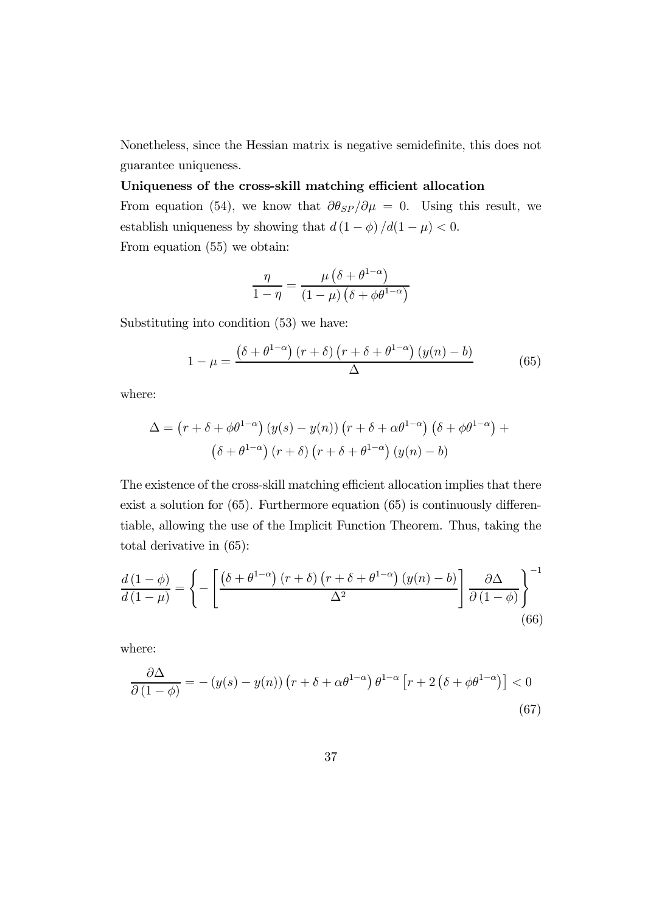Nonetheless, since the Hessian matrix is negative semidefinite, this does not guarantee uniqueness.

#### Uniqueness of the cross-skill matching efficient allocation

From equation (54), we know that  $\partial \theta_{SP}/\partial \mu = 0$ . Using this result, we establish uniqueness by showing that  $d\left(1-\phi\right)/d(1-\mu) < 0.$ From equation (55) we obtain:

$$
\frac{\eta}{1-\eta} = \frac{\mu\left(\delta + \theta^{1-\alpha}\right)}{\left(1-\mu\right)\left(\delta + \phi\theta^{1-\alpha}\right)}
$$

Substituting into condition (53) we have:

$$
1 - \mu = \frac{\left(\delta + \theta^{1-\alpha}\right)(r+\delta)\left(r+\delta + \theta^{1-\alpha}\right)(y(n)-b)}{\Delta} \tag{65}
$$

where:

$$
\Delta = (r + \delta + \phi \theta^{1-\alpha}) (y(s) - y(n)) (r + \delta + \alpha \theta^{1-\alpha}) (\delta + \phi \theta^{1-\alpha}) + (\delta + \theta^{1-\alpha}) (r + \delta) (r + \delta + \theta^{1-\alpha}) (y(n) - b)
$$

The existence of the cross-skill matching efficient allocation implies that there exist a solution for (65). Furthermore equation (65) is continuously differentiable, allowing the use of the Implicit Function Theorem. Thus, taking the total derivative in (65):

$$
\frac{d\left(1-\phi\right)}{d\left(1-\mu\right)} = \left\{-\left[\frac{\left(\delta+\theta^{1-\alpha}\right)\left(r+\delta\right)\left(r+\delta+\theta^{1-\alpha}\right)\left(y(n)-b\right)}{\Delta^2}\right]\frac{\partial\Delta}{\partial\left(1-\phi\right)}\right\}^{-1} \tag{66}
$$

where:

$$
\frac{\partial \Delta}{\partial (1 - \phi)} = -(y(s) - y(n)) \left( r + \delta + \alpha \theta^{1 - \alpha} \right) \theta^{1 - \alpha} \left[ r + 2 \left( \delta + \phi \theta^{1 - \alpha} \right) \right] < 0 \tag{67}
$$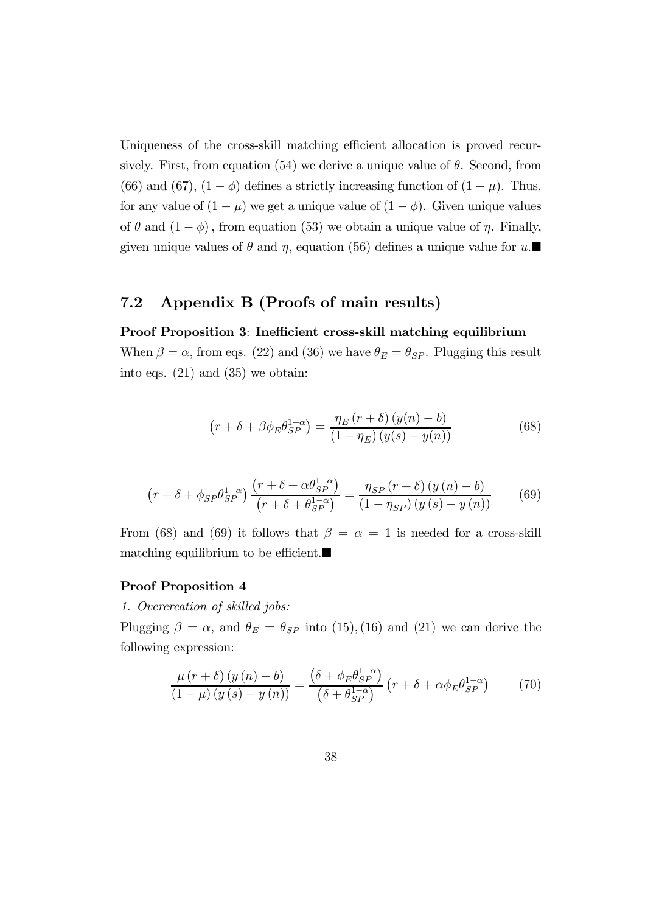Uniqueness of the cross-skill matching efficient allocation is proved recursively. First, from equation (54) we derive a unique value of  $\theta$ . Second, from (66) and (67),  $(1 - \phi)$  defines a strictly increasing function of  $(1 - \mu)$ . Thus, for any value of  $(1 - \mu)$  we get a unique value of  $(1 - \phi)$ . Given unique values of  $\theta$  and  $(1 - \phi)$ , from equation (53) we obtain a unique value of  $\eta$ . Finally, given unique values of  $\theta$  and  $\eta$ , equation (56) defines a unique value for  $u$ .

#### 7.2 Appendix B (Proofs of main results)

#### Proof Proposition 3: Inefficient cross-skill matching equilibrium

When  $\beta = \alpha$ , from eqs. (22) and (36) we have  $\theta_E = \theta_{SP}$ . Plugging this result into eqs. (21) and (35) we obtain:

$$
\left(r + \delta + \beta \phi_E \theta_{SP}^{1-\alpha}\right) = \frac{\eta_E \left(r + \delta\right) \left(y(n) - b\right)}{\left(1 - \eta_E\right) \left(y(s) - y(n)\right)}\tag{68}
$$

$$
\left(r+\delta+\phi_{SP}\theta_{SP}^{1-\alpha}\right)\frac{\left(r+\delta+\alpha\theta_{SP}^{1-\alpha}\right)}{\left(r+\delta+\theta_{SP}^{1-\alpha}\right)} = \frac{\eta_{SP}\left(r+\delta\right)\left(y\left(n\right)-b\right)}{\left(1-\eta_{SP}\right)\left(y\left(s\right)-y\left(n\right)\right)}\tag{69}
$$

From (68) and (69) it follows that  $\beta = \alpha = 1$  is needed for a cross-skill matching equilibrium to be efficient. $\blacksquare$ 

#### Proof Proposition 4

1. Overcreation of skilled jobs:

Plugging  $\beta = \alpha$ , and  $\theta_E = \theta_{SP}$  into (15), (16) and (21) we can derive the following expression:

$$
\frac{\mu (r+\delta) (y(n)-b)}{(1-\mu) (y(s)-y(n))} = \frac{(\delta + \phi_E \theta_{SP}^{1-\alpha})}{(\delta + \theta_{SP}^{1-\alpha})} (r+\delta + \alpha \phi_E \theta_{SP}^{1-\alpha})
$$
(70)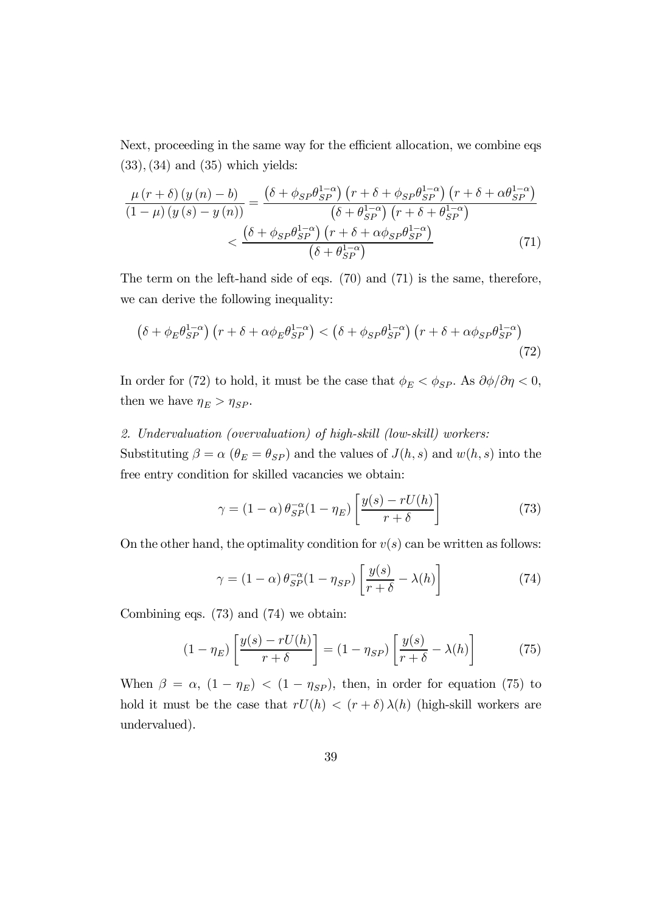Next, proceeding in the same way for the efficient allocation, we combine eqs  $(33)$ ,  $(34)$  and  $(35)$  which yields:

$$
\frac{\mu (r+\delta) (y(n)-b)}{(1-\mu) (y(s)-y(n))} = \frac{\left(\delta + \phi_{SP}\theta_{SP}^{1-\alpha}\right) (r+\delta + \phi_{SP}\theta_{SP}^{1-\alpha}) (r+\delta + \alpha\theta_{SP}^{1-\alpha})}{\left(\delta + \theta_{SP}^{1-\alpha}\right) (r+\delta + \theta_{SP}^{1-\alpha})}
$$
\n
$$
< \frac{\left(\delta + \phi_{SP}\theta_{SP}^{1-\alpha}\right) (r+\delta + \alpha\phi_{SP}\theta_{SP}^{1-\alpha})}{\left(\delta + \theta_{SP}^{1-\alpha}\right)} \tag{71}
$$

The term on the left-hand side of eqs. (70) and (71) is the same, therefore, we can derive the following inequality:

$$
\left(\delta + \phi_E \theta_{SP}^{1-\alpha}\right) \left(r + \delta + \alpha \phi_E \theta_{SP}^{1-\alpha}\right) < \left(\delta + \phi_{SP} \theta_{SP}^{1-\alpha}\right) \left(r + \delta + \alpha \phi_{SP} \theta_{SP}^{1-\alpha}\right) \tag{72}
$$

In order for (72) to hold, it must be the case that  $\phi_E<\phi_{SP}.$  As  $\partial\phi/\partial\eta<0,$ then we have  $\eta_E > \eta_{SP}$ .

#### 2. Undervaluation (overvaluation) of high-skill (low-skill) workers:

Substituting  $\beta = \alpha$  ( $\theta_E = \theta_{SP}$ ) and the values of  $J(h, s)$  and  $w(h, s)$  into the free entry condition for skilled vacancies we obtain:

$$
\gamma = (1 - \alpha) \theta_{SP}^{-\alpha} (1 - \eta_E) \left[ \frac{y(s) - rU(h)}{r + \delta} \right]
$$
(73)

On the other hand, the optimality condition for  $v(s)$  can be written as follows:

$$
\gamma = (1 - \alpha) \theta_{SP}^{-\alpha} (1 - \eta_{SP}) \left[ \frac{y(s)}{r + \delta} - \lambda(h) \right]
$$
 (74)

Combining eqs. (73) and (74) we obtain:

$$
(1 - \eta_E) \left[ \frac{y(s) - rU(h)}{r + \delta} \right] = (1 - \eta_{SP}) \left[ \frac{y(s)}{r + \delta} - \lambda(h) \right] \tag{75}
$$

When  $\beta = \alpha$ ,  $(1 - \eta_E)$  <  $(1 - \eta_{SP})$ , then, in order for equation (75) to hold it must be the case that  $rU(h) < (r + \delta) \lambda(h)$  (high-skill workers are undervalued).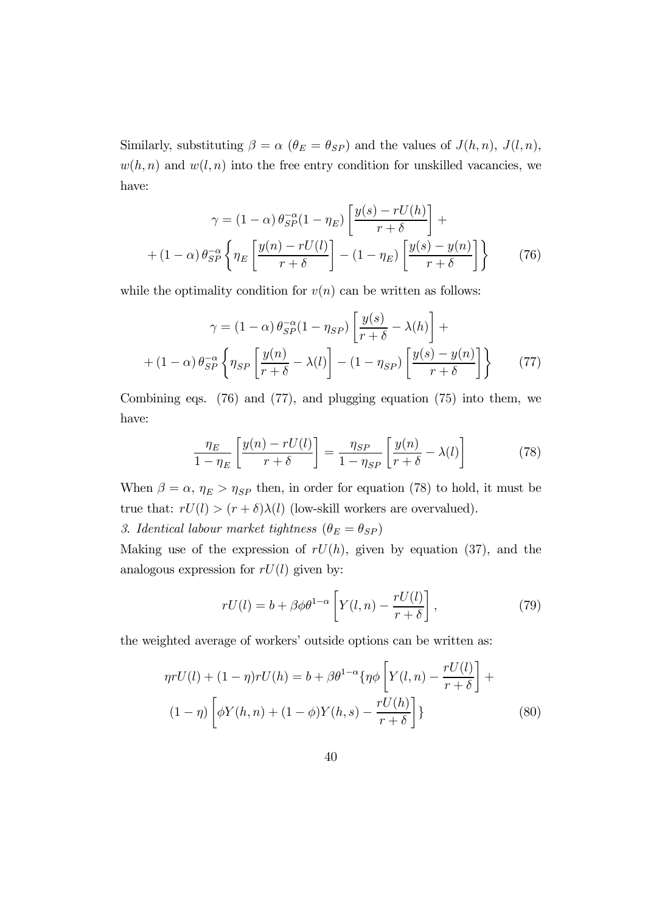Similarly, substituting  $\beta = \alpha$  ( $\theta_E = \theta_{SP}$ ) and the values of  $J(h, n)$ ,  $J(l, n)$ ,  $w(h, n)$  and  $w(l, n)$  into the free entry condition for unskilled vacancies, we have:

$$
\gamma = (1 - \alpha) \theta_{SP}^{-\alpha} (1 - \eta_E) \left[ \frac{y(s) - rU(h)}{r + \delta} \right] +
$$
  
+ 
$$
(1 - \alpha) \theta_{SP}^{-\alpha} \left\{ \eta_E \left[ \frac{y(n) - rU(l)}{r + \delta} \right] - (1 - \eta_E) \left[ \frac{y(s) - y(n)}{r + \delta} \right] \right\}
$$
(76)

while the optimality condition for  $v(n)$  can be written as follows:

$$
\gamma = (1 - \alpha) \theta_{SP}^{-\alpha} (1 - \eta_{SP}) \left[ \frac{y(s)}{r + \delta} - \lambda(h) \right] +
$$

$$
+ (1 - \alpha) \theta_{SP}^{-\alpha} \left\{ \eta_{SP} \left[ \frac{y(n)}{r + \delta} - \lambda(l) \right] - (1 - \eta_{SP}) \left[ \frac{y(s) - y(n)}{r + \delta} \right] \right\} \tag{77}
$$

Combining eqs.  $(76)$  and  $(77)$ , and plugging equation  $(75)$  into them, we have:

$$
\frac{\eta_E}{1 - \eta_E} \left[ \frac{y(n) - rU(l)}{r + \delta} \right] = \frac{\eta_{SP}}{1 - \eta_{SP}} \left[ \frac{y(n)}{r + \delta} - \lambda(l) \right] \tag{78}
$$

When  $\beta = \alpha$ ,  $\eta_E > \eta_{SP}$  then, in order for equation (78) to hold, it must be true that:  $rU(l) > (r + \delta)\lambda(l)$  (low-skill workers are overvalued).

3. Identical labour market tightness  $(\theta_E = \theta_{SP})$ 

Making use of the expression of  $rU(h)$ , given by equation (37), and the analogous expression for  $rU(l)$  given by:

$$
rU(l) = b + \beta \phi \theta^{1-\alpha} \left[ Y(l,n) - \frac{rU(l)}{r+\delta} \right],
$$
\n(79)

the weighted average of workers' outside options can be written as:

$$
\eta r U(l) + (1 - \eta) r U(h) = b + \beta \theta^{1-\alpha} \{ \eta \phi \left[ Y(l, n) - \frac{r U(l)}{r + \delta} \right] +
$$
  

$$
(1 - \eta) \left[ \phi Y(h, n) + (1 - \phi) Y(h, s) - \frac{r U(h)}{r + \delta} \right] \}
$$
(80)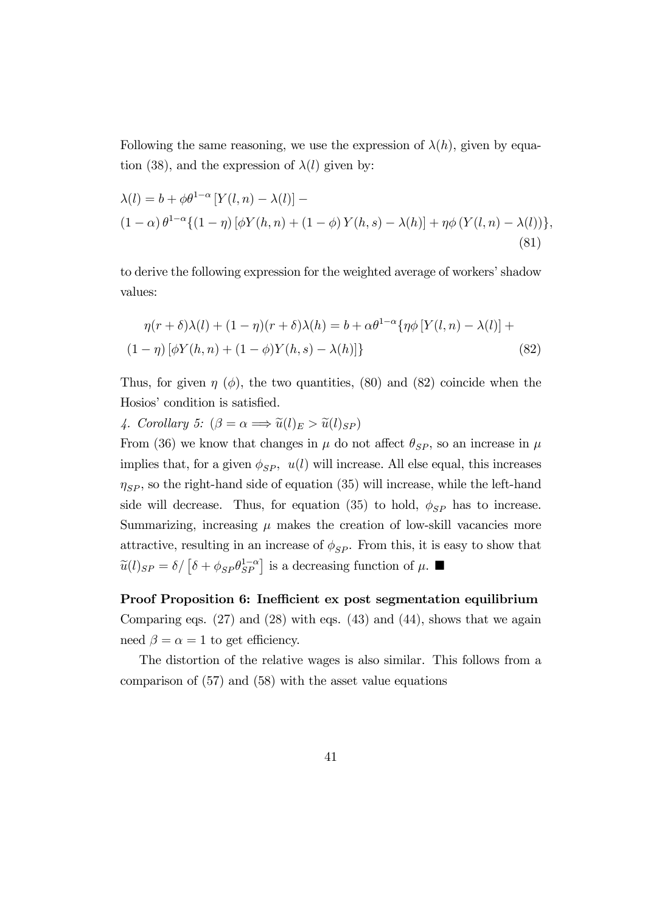Following the same reasoning, we use the expression of  $\lambda(h)$ , given by equation (38), and the expression of  $\lambda(l)$  given by:

$$
\lambda(l) = b + \phi \theta^{1-\alpha} \left[ Y(l, n) - \lambda(l) \right] -
$$
  
\n
$$
(1 - \alpha) \theta^{1-\alpha} \{ (1 - \eta) \left[ \phi Y(h, n) + (1 - \phi) Y(h, s) - \lambda(h) \right] + \eta \phi \left( Y(l, n) - \lambda(l) \right) \},
$$
  
\n(81)

to derive the following expression for the weighted average of workers' shadow values:

$$
\eta(r+\delta)\lambda(l) + (1-\eta)(r+\delta)\lambda(h) = b + \alpha \theta^{1-\alpha} \{\eta \phi \left[ Y(l,n) - \lambda(l) \right] +
$$
  

$$
(1-\eta) \left[ \phi Y(h,n) + (1-\phi) Y(h,s) - \lambda(h) \right] \}
$$
(82)

Thus, for given  $\eta$  ( $\phi$ ), the two quantities, (80) and (82) coincide when the Hosios' condition is satisfied.

4. Corollary 5:  $(\beta = \alpha \Longrightarrow \tilde{u}(l)_E > \tilde{u}(l)_{SP})$ 

From (36) we know that changes in  $\mu$  do not affect  $\theta_{SP}$ , so an increase in  $\mu$ implies that, for a given  $\phi_{SP}$ ,  $u(l)$  will increase. All else equal, this increases  $\eta_{SP}$ , so the right-hand side of equation (35) will increase, while the left-hand side will decrease. Thus, for equation (35) to hold,  $\phi_{SP}$  has to increase. Summarizing, increasing  $\mu$  makes the creation of low-skill vacancies more attractive, resulting in an increase of  $\phi_{SP}$ . From this, it is easy to show that  $\tilde{u}(l)_{SP} = \delta / \left[ \delta + \phi_{SP} \theta_{SP}^{1-\alpha} \right]$  is a decreasing function of  $\mu$ .

Proof Proposition 6: Inefficient ex post segmentation equilibrium Comparing eqs.  $(27)$  and  $(28)$  with eqs.  $(43)$  and  $(44)$ , shows that we again need  $\beta = \alpha = 1$  to get efficiency.

The distortion of the relative wages is also similar. This follows from a comparison of (57) and (58) with the asset value equations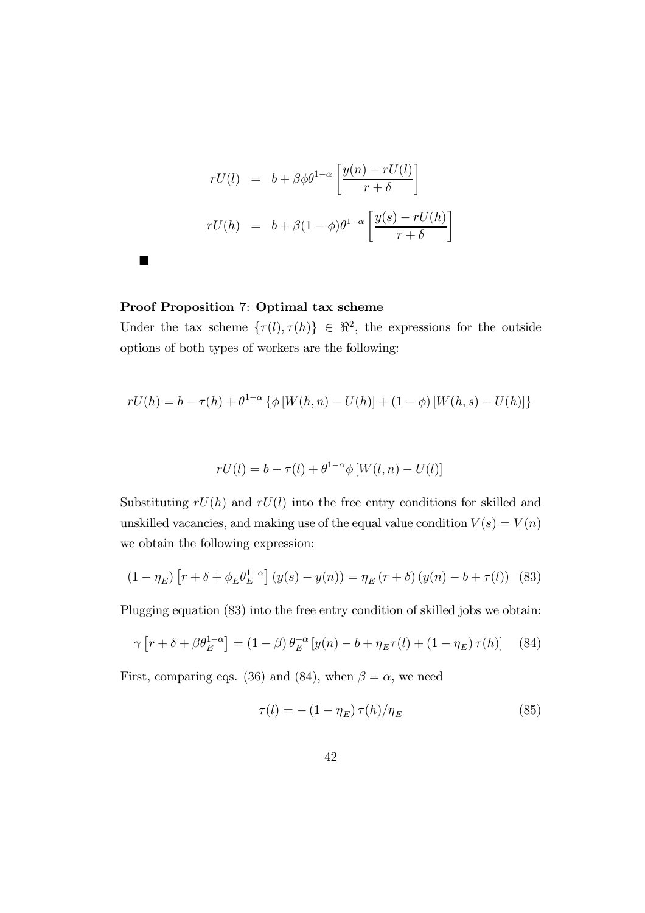$$
rU(l) = b + \beta \phi \theta^{1-\alpha} \left[ \frac{y(n) - rU(l)}{r + \delta} \right]
$$
  

$$
rU(h) = b + \beta (1 - \phi) \theta^{1-\alpha} \left[ \frac{y(s) - rU(h)}{r + \delta} \right]
$$

#### Proof Proposition 7: Optimal tax scheme

¥

Under the tax scheme  $\{\tau(l), \tau(h)\}\in \Re^2$ , the expressions for the outside options of both types of workers are the following:

$$
rU(h) = b - \tau(h) + \theta^{1-\alpha} \left\{ \phi \left[ W(h, n) - U(h) \right] + (1 - \phi) \left[ W(h, s) - U(h) \right] \right\}
$$

$$
rU(l) = b - \tau(l) + \theta^{1-\alpha} \phi \left[ W(l, n) - U(l) \right]
$$

Substituting  $rU(h)$  and  $rU(l)$  into the free entry conditions for skilled and unskilled vacancies, and making use of the equal value condition  $V(s) = V(n)$ we obtain the following expression:

$$
(1 - \eta_E) \left[ r + \delta + \phi_E \theta_E^{1 - \alpha} \right] (y(s) - y(n)) = \eta_E (r + \delta) (y(n) - b + \tau(l)) \tag{83}
$$

Plugging equation (83) into the free entry condition of skilled jobs we obtain:

$$
\gamma \left[ r + \delta + \beta \theta_E^{1-\alpha} \right] = (1-\beta) \theta_E^{-\alpha} \left[ y(n) - b + \eta_E \tau(l) + (1-\eta_E) \tau(h) \right] \tag{84}
$$

First, comparing eqs. (36) and (84), when  $\beta = \alpha$ , we need

$$
\tau(l) = -\left(1 - \eta_E\right)\tau(h)/\eta_E\tag{85}
$$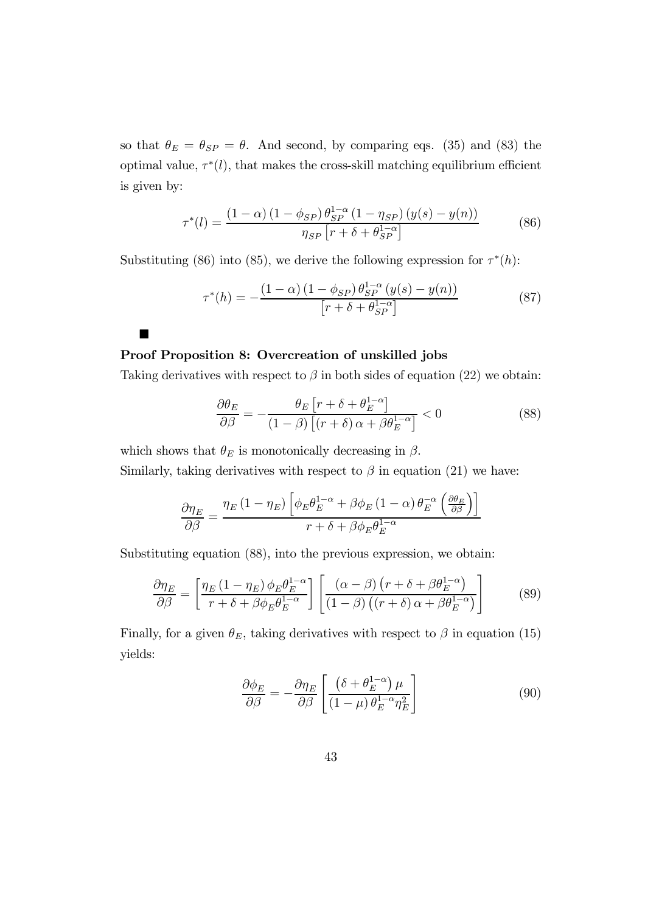so that  $\theta_E = \theta_{SP} = \theta$ . And second, by comparing eqs. (35) and (83) the optimal value,  $\tau^*(l)$ , that makes the cross-skill matching equilibrium efficient is given by:

$$
\tau^*(l) = \frac{(1 - \alpha) (1 - \phi_{SP}) \theta_{SP}^{1 - \alpha} (1 - \eta_{SP}) (y(s) - y(n))}{\eta_{SP} \left[r + \delta + \theta_{SP}^{1 - \alpha}\right]}
$$
(86)

Substituting (86) into (85), we derive the following expression for  $\tau^*(h)$ :

$$
\tau^*(h) = -\frac{(1-\alpha)(1-\phi_{SP})\,\theta_{SP}^{1-\alpha}(y(s)-y(n))}{[r+\delta+\theta_{SP}^{1-\alpha}]}\tag{87}
$$

#### Proof Proposition 8: Overcreation of unskilled jobs

¥

Taking derivatives with respect to  $\beta$  in both sides of equation (22) we obtain:

$$
\frac{\partial \theta_E}{\partial \beta} = -\frac{\theta_E \left[r + \delta + \theta_E^{1-\alpha}\right]}{(1-\beta) \left[(r+\delta)\alpha + \beta \theta_E^{1-\alpha}\right]} < 0 \tag{88}
$$

which shows that  $\theta_E$  is monotonically decreasing in  $\beta$ .

Similarly, taking derivatives with respect to  $\beta$  in equation (21) we have:

$$
\frac{\partial \eta_E}{\partial \beta} = \frac{\eta_E (1 - \eta_E) \left[ \phi_E \theta_E^{1 - \alpha} + \beta \phi_E (1 - \alpha) \theta_E^{-\alpha} \left( \frac{\partial \theta_E}{\partial \beta} \right) \right]}{r + \delta + \beta \phi_E \theta_E^{1 - \alpha}}
$$

Substituting equation (88), into the previous expression, we obtain:

$$
\frac{\partial \eta_E}{\partial \beta} = \left[ \frac{\eta_E \left( 1 - \eta_E \right) \phi_E \theta_E^{1 - \alpha}}{r + \delta + \beta \phi_E \theta_E^{1 - \alpha}} \right] \left[ \frac{\left( \alpha - \beta \right) \left( r + \delta + \beta \theta_E^{1 - \alpha} \right)}{\left( 1 - \beta \right) \left( \left( r + \delta \right) \alpha + \beta \theta_E^{1 - \alpha} \right)} \right] \tag{89}
$$

Finally, for a given  $\theta_E$ , taking derivatives with respect to  $\beta$  in equation (15) yields:

$$
\frac{\partial \phi_E}{\partial \beta} = -\frac{\partial \eta_E}{\partial \beta} \left[ \frac{\left( \delta + \theta_E^{1-\alpha} \right) \mu}{\left( 1 - \mu \right) \theta_E^{1-\alpha} \eta_E^2} \right] \tag{90}
$$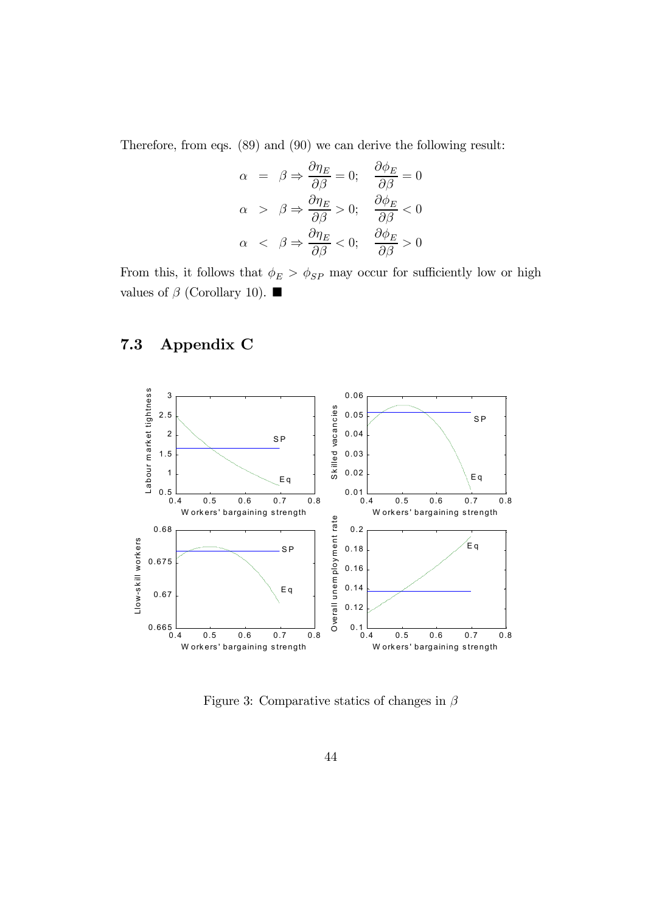Therefore, from eqs. (89) and (90) we can derive the following result:

$$
\alpha = \beta \Rightarrow \frac{\partial \eta_E}{\partial \beta} = 0; \quad \frac{\partial \phi_E}{\partial \beta} = 0
$$
  

$$
\alpha > \beta \Rightarrow \frac{\partial \eta_E}{\partial \beta} > 0; \quad \frac{\partial \phi_E}{\partial \beta} < 0
$$
  

$$
\alpha < \beta \Rightarrow \frac{\partial \eta_E}{\partial \beta} < 0; \quad \frac{\partial \phi_E}{\partial \beta} > 0
$$

From this, it follows that  $\phi_E > \phi_{SP}$  may occur for sufficiently low or high values of  $β$  (Corollary 10). ■

### 7.3 Appendix C



Figure 3: Comparative statics of changes in  $\beta$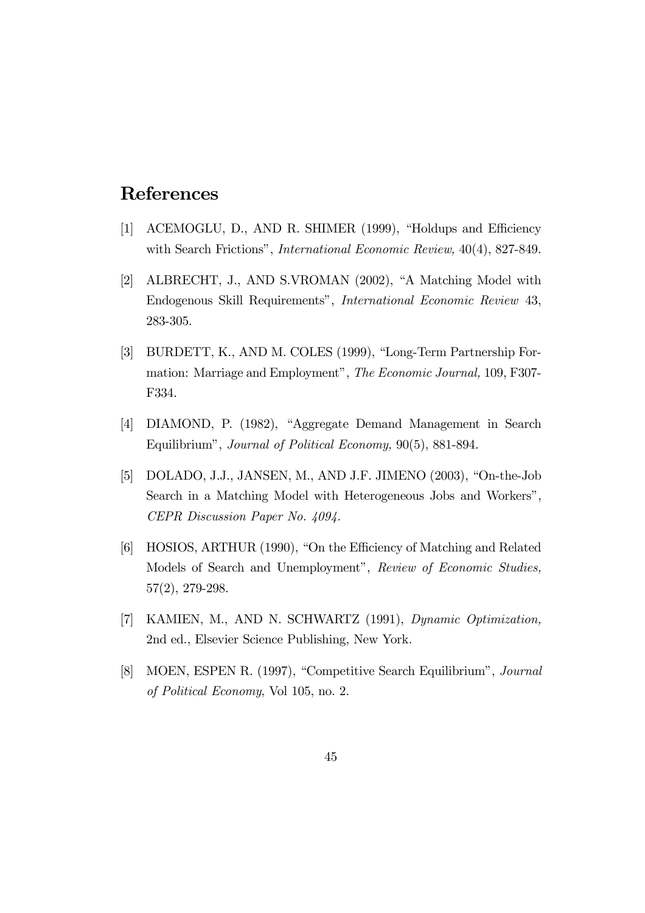### References

- [1] ACEMOGLU, D., AND R. SHIMER (1999), "Holdups and Efficiency with Search Frictions", *International Economic Review*,  $40(4)$ , 827-849.
- [2] ALBRECHT, J., AND S.VROMAN (2002), "A Matching Model with Endogenous Skill Requirements", International Economic Review 43, 283-305.
- [3] BURDETT, K., AND M. COLES (1999), "Long-Term Partnership Formation: Marriage and Employment", The Economic Journal, 109, F307- F334.
- [4] DIAMOND, P. (1982), "Aggregate Demand Management in Search Equilibrium", Journal of Political Economy, 90(5), 881-894.
- [5] DOLADO, J.J., JANSEN, M., AND J.F. JIMENO (2003), "On-the-Job Search in a Matching Model with Heterogeneous Jobs and Workers", CEPR Discussion Paper No. 4094.
- [6] HOSIOS, ARTHUR (1990), "On the Efficiency of Matching and Related Models of Search and Unemployment", Review of Economic Studies, 57(2), 279-298.
- [7] KAMIEN, M., AND N. SCHWARTZ (1991), Dynamic Optimization, 2nd ed., Elsevier Science Publishing, New York.
- [8] MOEN, ESPEN R. (1997), "Competitive Search Equilibrium", Journal of Political Economy, Vol 105, no. 2.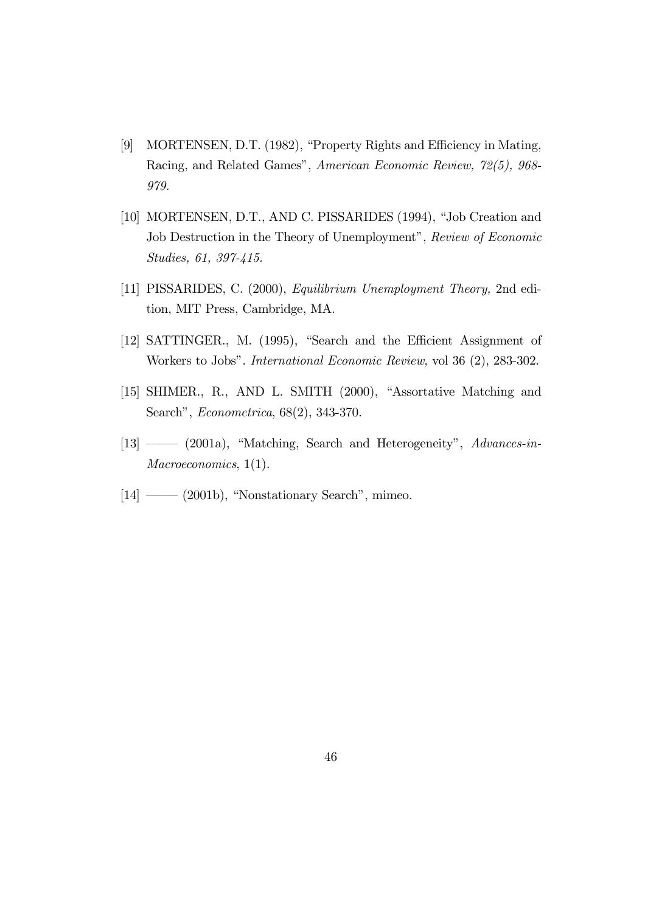- [9] MORTENSEN, D.T. (1982), "Property Rights and Efficiency in Mating, Racing, and Related Games", American Economic Review, 72(5), 968- 979.
- [10] MORTENSEN, D.T., AND C. PISSARIDES (1994), "Job Creation and Job Destruction in the Theory of Unemployment", Review of Economic Studies, 61, 397-415.
- [11] PISSARIDES, C. (2000), Equilibrium Unemployment Theory, 2nd edition, MIT Press, Cambridge, MA.
- [12] SATTINGER., M. (1995), "Search and the Efficient Assignment of Workers to Jobs". International Economic Review, vol 36 (2), 283-302.
- [15] SHIMER., R., AND L. SMITH (2000), "Assortative Matching and Search", Econometrica, 68(2), 343-370.
- [13] ––– (2001a), "Matching, Search and Heterogeneity", Advances-in-Macroeconomics, 1(1).
- $[14] \longrightarrow (2001b)$ , "Nonstationary Search", mimeo.